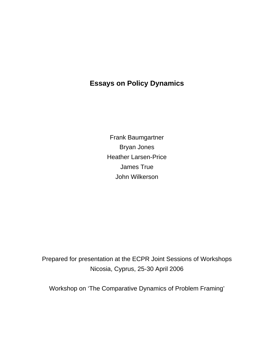## **Essays on Policy Dynamics**

Frank Baumgartner Bryan Jones Heather Larsen-Price James True John Wilkerson

Prepared for presentation at the ECPR Joint Sessions of Workshops Nicosia, Cyprus, 25-30 April 2006

Workshop on 'The Comparative Dynamics of Problem Framing'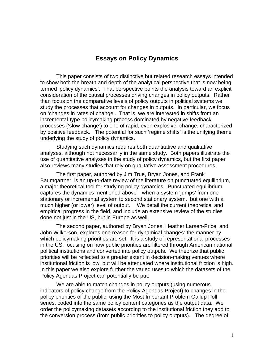## **Essays on Policy Dynamics**

This paper consists of two distinctive but related research essays intended to show both the breath and depth of the analytical perspective that is now being termed 'policy dynamics'. That perspective points the analysis toward an explicit consideration of the causal processes driving changes in policy outputs. Rather than focus on the comparative levels of policy outputs in political systems we study the processes that account for changes in outputs. In particular, we focus on 'changes in rates of change'. That is, we are interested in shifts from an incremental-type policymaking process dominated by negative feedback processes ('slow change') to one of rapid, even explosive, change, characterized by positive feedback. The potential for such 'regime shifts' is the unifying theme underlying the study of policy dynamics.

 Studying such dynamics requires both quantitative and qualitative analyses, although not necessarily in the same study. Both papers illustrate the use of quantitative analyses in the study of policy dynamics, but the first paper also reviews many studies that rely on qualitative assessment procedures.

 The first paper, authored by Jim True, Bryan Jones, and Frank Baumgartner, is an up-to-date review of the literature on punctuated equilibrium, a major theoretical tool for studying policy dynamics. Punctuated equilibrium captures the dynamics mentioned above—when a system 'jumps' from one stationary or incremental system to second stationary system, but one with a much higher (or lower) level of output. We detail the current theoretical and empirical progress in the field, and include an extensive review of the studies done not just in the US, but in Europe as well.

 The second paper, authored by Bryan Jones, Heather Larsen-Price, and John Wilkerson, explores one reason for dynamical changes: the manner by which policymaking priorities are set. It is a study of representational processes in the US, focusing on how public priorities are filtered through American national political institutions and converted into policy outputs. We theorize that public priorities will be reflected to a greater extent in decision-making venues where institutional friction is low, but will be attenuated where institutional friction is high. In this paper we also explore further the varied uses to which the datasets of the Policy Agendas Project can potentially be put.

We are able to match changes in policy outputs (using numerous indicators of policy change from the Policy Agendas Project) to changes in the policy priorities of the public, using the Most Important Problem Gallup Poll series, coded into the same policy content categories as the output data. We order the policymaking datasets according to the institutional friction they add to the conversion process (from public priorities to policy outputs). The degree of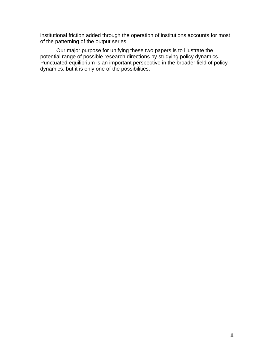institutional friction added through the operation of institutions accounts for most of the patterning of the output series.

 Our major purpose for unifying these two papers is to illustrate the potential range of possible research directions by studying policy dynamics. Punctuated equilibrium is an important perspective in the broader field of policy dynamics, but it is only one of the possibilities.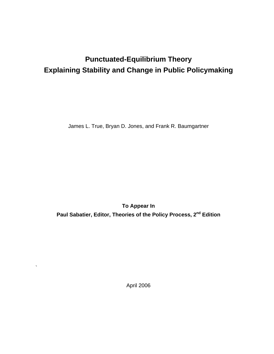# **Punctuated-Equilibrium Theory Explaining Stability and Change in Public Policymaking**

James L. True, Bryan D. Jones, and Frank R. Baumgartner

**To Appear In**  Paul Sabatier, Editor, Theories of the Policy Process, 2<sup>nd</sup> Edition

April 2006

`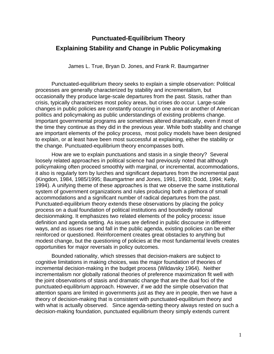## **Punctuated-Equilibrium Theory Explaining Stability and Change in Public Policymaking**

James L. True, Bryan D. Jones, and Frank R. Baumgartner

Punctuated-equilibrium theory seeks to explain a simple observation: Political processes are generally characterized by stability and incrementalism, but occasionally they produce large-scale departures from the past. Stasis, rather than crisis, typically characterizes most policy areas, but crises do occur. Large-scale changes in public policies are constantly occurring in one area or another of American politics and policymaking as public understandings of existing problems change. Important governmental programs are sometimes altered dramatically, even if most of the time they continue as they did in the previous year. While both stability and change are important elements of the policy process, most policy models have been designed to explain, or at least have been most successful at explaining, either the stability or the change. Punctuated-equilibrium theory encompasses both.

How are we to explain punctuations and stasis in a single theory? Several loosely related approaches in political science had previously noted that although policymaking often proceed smoothly with marginal, or incremental, accommodations, it also is regularly torn by lurches and significant departures from the incremental past (Kingdon, 1984, 1985/1995; Baumgartner and Jones, 1991, 1993; Dodd, 1994; Kelly, 1994). A unifying theme of these approaches is that we observe the same institutional system of government organizations and rules producing both a plethora of small accommodations and a significant number of radical departures from the past. Punctuated-equilibrium theory extends these observations by placing the policy process on a dual foundation of political institutions and boundedly rational decisionmaking. It emphasizes two related elements of the policy process: issue definition and agenda setting. As issues are defined in public discourse in different ways, and as issues rise and fall in the public agenda, existing policies can be either reinforced or questioned. Reinforcement creates great obstacles to anything but modest change, but the questioning of policies at the most fundamental levels creates opportunities for major reversals in policy outcomes.

Bounded rationality, which stresses that decision-makers are subject to cognitive limitations in making choices, was the major foundation of theories of incremental decision-making in the budget process (Wildavsky 1964). Neither incrementalism nor globally rational theories of preference maximization fit well with the joint observations of stasis and dramatic change that are the dual foci of the punctuated-equilibrium approach. However, if we add the simple observation that attention spans are limited in governments just as they are in people, then we have a theory of decision-making that is consistent with punctuated-equilibrium theory and with what is actually observed. Since agenda-setting theory always rested on such a decision-making foundation, punctuated equilibrium theory simply extends current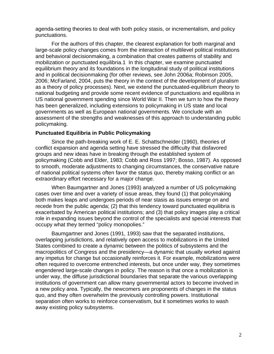agenda-setting theories to deal with both policy stasis, or incrementalism, and policy punctuations.

For the authors of this chapter, the clearest explanation for both marginal and large-scale policy changes comes from the interaction of multilevel political institutions and behavioral decisionmaking, a combination that creates patterns of stability and mobilization or punctuated equilibria.1 In this chapter, we examine punctuated equilibrium theory and its foundations in the longitudinal study of political institutions and in political decisionmaking (for other reviews, see John 2006a; Robinson 2005, 2006; McFarland, 2004, puts the theory in the context of the development of pluralism as a theory of policy processes). Next, we extend the punctuated-equilibrium theory to national budgeting and provide some recent evidence of punctuations and equilibria in US national government spending since World War II. Then we turn to how the theory has been generalized, including extensions to policymaking in US state and local governments as well as European national governments. We conclude with an assessment of the strengths and weaknesses of this approach to understanding public policymaking.

## **Punctuated Equilibria in Public Policymaking**

Since the path-breaking work of E. E. Schattschneider (1960), theories of conflict expansion and agenda setting have stressed the difficulty that disfavored groups and new ideas have in breaking through the established system of policymaking (Cobb and Elder, 1983; Cobb and Ross 1997; Bosso, 1987). As opposed to smooth, moderate adjustments to changing circumstances, the conservative nature of national political systems often favor the status quo, thereby making conflict or an extraordinary effort necessary for a major change.

When Baumgartner and Jones (1993) analyzed a number of US policymaking cases over time and over a variety of issue areas, they found (1) that policymaking both makes leaps and undergoes periods of near stasis as issues emerge on and recede from the public agenda; (2) that this tendency toward punctuated equilibria is exacerbated by American political institutions; and (3) that policy images play a critical role in expanding issues beyond the control of the specialists and special interests that occupy what they termed "policy monopolies."

Baumgartner and Jones (1991, 1993) saw that the separated institutions, overlapping jurisdictions, and relatively open access to mobilizations in the United States combined to create a dynamic between the politics of subsystems and the macropolitics of Congress and the presidency—a dynamic that usually worked against any impetus for change but occasionally reinforces it. For example, mobilizations were often required to overcome entrenched interests, but once under way, they sometimes engendered large-scale changes in policy. The reason is that once a mobilization is under way, the diffuse jurisdictional boundaries that separate the various overlapping institutions of government can allow many governmental actors to become involved in a new policy area. Typically, the newcomers are proponents of changes in the status quo, and they often overwhelm the previously controlling powers. Institutional separation often works to reinforce conservatism, but it sometimes works to wash away existing policy subsystems.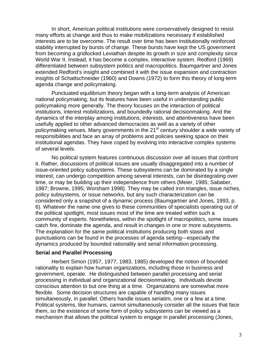In short, American political institutions were conservatively designed to resist many efforts at change and thus to make mobilizations necessary if established interests are to be overcome. The result over time has been institutionally reinforced stability interrupted by bursts of change. These bursts have kept the US government from becoming a gridlocked Leviathan despite its growth in size and complexity since World War II. Instead, it has become a complex, interactive system. Redford (1969) differentiated between subsystem politics and macropolitics. Baumgartner and Jones extended Redford's insight and combined it with the issue expansion and contraction insights of Schattschneider (1960) and Downs (1972) to form this theory of long-term agenda change and policymaking.

Punctuated equilibrium theory began with a long-term analysis of American national policymaking, but its features have been useful in understanding public policymaking more generally. The theory focuses on the interaction of political institutions, interest mobilizations, and boundedly rational decisionmaking. And the dynamics of the interplay among institutions, interests, and attentiveness have been usefully applied to other advanced democracies as well as a variety of other policymaking venues. Many governments in the 21<sup>st</sup> century shoulder a wide variety of responsibilities and face an array of problems and policies seeking space on their institutional agendas. They have coped by evolving into interactive complex systems of several levels.

No political system features continuous discussion over all issues that confront it. Rather, discussions of political issues are usually disaggregated into a number of issue-oriented policy subsystems. These subsystems can be dominated by a single interest, can undergo competition among several interests, can be disintegrating over time, or may be building up their independence from others (Meier, 1985; Sabatier, 1987; Browne, 1995; Worsham 1998). They may be called iron triangles, issue niches, policy subsystems, or issue networks, but any such characterization can be considered only a snapshot of a dynamic process (Baumgartner and Jones, 1993, p. 6). Whatever the name one gives to these communities of specialists operating out of the political spotlight, most issues most of the time are treated within such a community of experts. Nonetheless, within the spotlight of macropolitics, some issues catch fire, dominate the agenda, and result in changes in one or more subsystems. The explanation for the same political institutions producing both stasis and punctuations can be found in the processes of agenda setting---especially the dynamics produced by bounded rationality and serial information processing.

#### **Serial and Parallel Processing**

Herbert Simon (1957, 1977, 1983, 1985) developed the notion of bounded rationality to explain how human organizations, including those in business and government, operate. He distinguished between parallel processing and serial processing in individual and organizational decisionmaking. Individuals devote conscious attention to but one thing at a time. Organizations are somewhat more flexible. Some decision structures are capable of handling many issues simultaneously, in parallel. Others handle issues seriatim, one or a few at a time. Political systems, like humans, cannot simultaneously consider all the issues that face them, so the existence of some form of policy subsystems can be viewed as a mechanism that allows the political system to engage in parallel processing (Jones,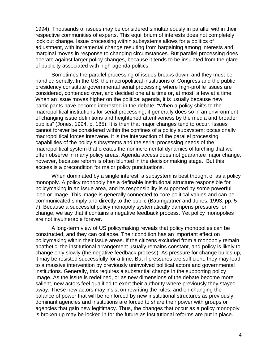1994). Thousands of issues may be considered simultaneously in parallel within their respective communities of experts. This equilibrium of interests does not completely lock out change. Issue processing within subsystems allows for a politics of adjustment, with incremental change resulting from bargaining among interests and marginal moves in response to changing circumstances. But parallel processing does operate against larger policy changes, because it tends to be insulated from the glare of publicity associated with high-agenda politics.

Sometimes the parallel processing of issues breaks down, and they must be handled serially. In the US, the macropolitical institutions of Congress and the public presidency constitute governmental serial processing where high-profile issues are considered, contended over, and decided one at a time or, at most, a few at a time. When an issue moves higher on the political agenda, it is usually because new participants have become interested in the debate: "When a policy shifts to the macropolitical institutions for serial processing, it generally does so in an environment of changing issue definitions and heightened attentiveness by the media and broader publics" (Jones, 1994, p. 185). It is then that major changes tend to occur. Issues cannot forever be considered within the confines of a policy subsystem; occasionally macropolitical forces intervene. It is the intersection of the parallel processing capabilities of the policy subsystems and the serial processing needs of the macropolitical system that creates the nonincremental dynamics of lurching that we often observe in many policy areas. Agenda access does not guarantee major change, however, because reform is often blunted in the decisionmaking stage. But this access is a precondition for major policy punctuations.

When dominated by a single interest, a subsystem is best thought of as a policy monopoly. A policy monopoly has a definable institutional structure responsible for policymaking in an issue area, and its responsibility is supported by some powerful idea or image. This image is generally connected to core political values and can be communicated simply and directly to the public (Baumgartner and Jones, 1993, pp. 5– 7). Because a successful policy monopoly systematically dampens pressures for change, we say that it contains a negative feedback process. Yet policy monopolies are not invulnerable forever.

A long-term view of US policymaking reveals that policy monopolies can be constructed, and they can collapse. Their condition has an important effect on policymaking within their issue areas. If the citizens excluded from a monopoly remain apathetic, the institutional arrangement usually remains constant, and policy is likely to change only slowly (the negative feedback process). As pressure for change builds up, it may be resisted successfully for a time. But if pressures are sufficient, they may lead to a massive intervention by previously uninvolved political actors and governmental institutions. Generally, this requires a substantial change in the supporting policy image. As the issue is redefined, or as new dimensions of the debate become more salient, new actors feel qualified to exert their authority where previously they stayed away. These new actors may insist on rewriting the rules, and on changing the balance of power that will be reinforced by new institutional structures as previously dominant agencies and institutions are forced to share their power with groups or agencies that gain new legitimacy. Thus, the changes that occur as a policy monopoly is broken up may be locked in for the future as institutional reforms are put in place.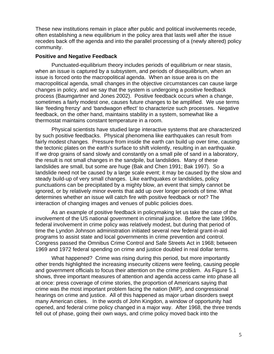These new institutions remain in place after public and political involvements recede, often establishing a new equilibrium in the policy area that lasts well after the issue recedes back off the agenda and into the parallel processing of a (newly altered) policy community.

## **Positive and Negative Feedback**

Punctuated-equilibrium theory includes periods of equilibrium or near stasis, when an issue is captured by a subsystem, and periods of disequilibrium, when an issue is forced onto the macropolitical agenda. When an issue area is on the macropolitical agenda, small changes in the objective circumstances can cause large changes in policy, and we say that the system is undergoing a positive feedback process (Baumgartner and Jones 2002). Positive feedback occurs when a change, sometimes a fairly modest one, causes future changes to be amplified. We use terms like 'feeding frenzy' and 'bandwagon effect' to characterize such processes. Negative feedback, on the other hand, maintains stability in a system, somewhat like a thermostat maintains constant temperature in a room.

Physical scientists have studied large interactive systems that are characterized by such positive feedbacks. Physical phenomena like earthquakes can result from fairly modest changes. Pressure from inside the earth can build up over time, causing the tectonic plates on the earth's surface to shift violently, resulting in an earthquake. If we drop grains of sand slowly and constantly on a small pile of sand in a laboratory, the result is not small changes in the sandpile, but landslides. Many of these landslides are small, but some are huge (Bak and Chen 1991; Bak 1997). So a landslide need not be caused by a large scale event; it may be caused by the slow and steady build-up of very small changes. Like earthquakes or landslides, policy punctuations can be precipitated by a mighty blow, an event that simply cannot be ignored, or by relatively minor events that add up over longer periods of time. What determines whether an issue will catch fire with positive feedback or not? The interaction of changing images and venues of public policies does.

As an example of positive feedback in policymaking let us take the case of the involvement of the US national government in criminal justice. Before the late 1960s, federal involvement in crime policy was relatively modest, but during that period of time the Lyndon Johnson administration initiated several new federal grant-in-aid programs to assist state and local governments in crime prevention and control. Congress passed the Omnibus Crime Control and Safe Streets Act in 1968; between 1969 and 1972 federal spending on crime and justice doubled in real dollar terms.

What happened? Crime was rising during this period, but more importantly other trends highlighted the increasing insecurity citizens were feeling, causing people and government officials to focus their attention on the crime problem. As Figure 5.1 shows, three important measures of attention and agenda access came into phase all at once: press coverage of crime stories, the proportion of Americans saying that crime was the most important problem facing the nation (MIP), and congressional hearings on crime and justice. All of this happened as major urban disorders swept many American cities. In the words of John Kingdon, a window of opportunity had opened, and federal crime policy changed in a major way. After 1968, the three trends fell out of phase, going their own ways, and crime policy moved back into the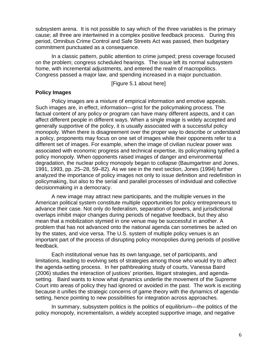subsystem arena. It is not possible to say which of the three variables is the primary cause; all three are intertwined in a complex positive feedback process. During this period, Omnibus Crime Control and Safe Streets Act was passed, then budgetary commitment punctuated as a consequence.

In a classic pattern, public attention to crime jumped; press coverage focused on the problem; congress scheduled hearings. The issue left its normal subsystem home, with incremental adjustments, and entered the realm of macropolitics. Congress passed a major law, and spending increased in a major punctuation.

[Figure 5.1 about here]

## **Policy Images**

Policy images are a mixture of empirical information and emotive appeals. Such images are, in effect, information—grist for the policymaking process. The factual content of any policy or program can have many different aspects, and it can affect different people in different ways. When a single image is widely accepted and generally supportive of the policy, it is usually associated with a successful policy monopoly. When there is disagreement over the proper way to describe or understand a policy, proponents may focus on one set of images while their opponents refer to a different set of images. For example, when the image of civilian nuclear power was associated with economic progress and technical expertise, its policymaking typified a policy monopoly. When opponents raised images of danger and environmental degradation, the nuclear policy monopoly began to collapse (Baumgartner and Jones, 1991, 1993, pp. 25–28, 59–82). As we see in the next section, Jones (1994) further analyzed the importance of policy images not only to issue definition and redefinition in policymaking, but also to the serial and parallel processes of individual and collective decisionmaking in a democracy.

A new image may attract new participants, and the multiple venues in the American political system constitute multiple opportunities for policy entrepreneurs to advance their case. Not only do federalism, separation of powers, and jurisdictional overlaps inhibit major changes during periods of negative feedback, but they also mean that a mobilization stymied in one venue may be successful in another. A problem that has not advanced onto the national agenda can sometimes be acted on by the states, and vice versa. The U.S. system of multiple policy venues is an important part of the process of disrupting policy monopolies during periods of positive feedback.

Each institutional venue has its own language, set of participants, and limitations, leading to evolving sets of strategies among those who would try to affect the agenda-setting process. In her pathbreaking study of courts, Vanessa Baird (2006) studies the interaction of justices' priorities, litigant strategies, and agendasetting. Baird wants to know what dynamics underlie the movement of the Supreme Court into areas of policy they had ignored or avoided in the past. The work is exciting because it unifies the strategic concerns of game theory with the dynamics of agendasetting, hence pointing to new possibilities for integration across approaches.

In summary, subsystem politics is the politics of equilibrium—the politics of the policy monopoly, incrementalism, a widely accepted supportive image, and negative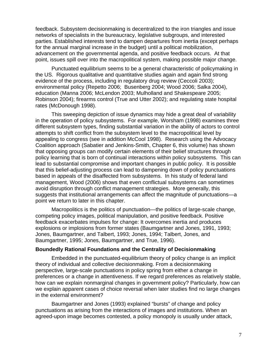feedback. Subsystem decisionmaking is decentralized to the iron triangles and issue networks of specialists in the bureaucracy, legislative subgroups, and interested parties. Established interests tend to dampen departures from inertia (except perhaps for the annual marginal increase in the budget) until a political mobilization, advancement on the governmental agenda, and positive feedback occurs. At that point, issues spill over into the macropolitical system, making possible major change.

Punctuated equilibrium seems to be a general characteristic of policymaking in the US. Rigorous qualitative and quantitative studies again and again find strong evidence of the process, including in regulatory drug review (Ceccoli 2003); environmental policy (Repetto 2006; Busenberg 2004; Wood 2006; Salka 2004), education (Manna 2006; McLendon 2003; Mulholland and Shakespeare 2005; Robinson 2004); firearms control (True and Utter 2002); and regulating state hospital rates (McDonough 1998).

This sweeping depiction of issue dynamics may hide a great deal of variability in the operation of policy subsystems. For example, Worsham (1998) examines three different subsystem types, finding substantial variation in the ability of actors to control attempts to shift conflict from the subsystem level to the macropolitical level by appealing to congress (see in addition McCool 1998). Research using the Advocacy Coalition approach (Sabatier and Jenkins-Smith, Chapter 6, this volume) has shown that opposing groups can modify certain elements of their belief structures through policy learning that is born of continual interactions within policy subsystems. This can lead to substantial compromise and important changes in public policy. It is possible that this belief-adjusting process can lead to dampening down of policy punctuations based in appeals of the disaffected from subsystems. In his study of federal land management, Wood (2006) shows that even conflictual subsystems can sometimes avoid disruption through conflict management strategies. More generally, this suggests that institutional arrangements can affect the magnitude of punctuations—a point we return to later in this chapter.

Macropolitics is the politics of punctuation—the politics of large-scale change, competing policy images, political manipulation, and positive feedback. Positive feedback exacerbates impulses for change: It overcomes inertia and produces explosions or implosions from former states (Baumgartner and Jones, 1991, 1993; Jones, Baumgartner, and Talbert, 1993; Jones, 1994; Talbert, Jones, and Baumgartner, 1995; Jones, Baumgartner, and True, 1996).

## **Boundedly Rational Foundations and the Centrality of Decisionmaking**

Embedded in the punctuated-equilibrium theory of policy change is an implicit theory of individual and collective decisionmaking. From a decisionmaking perspective, large-scale punctuations in policy spring from either a change in preferences or a change in attentiveness. If we regard preferences as relatively stable, how can we explain nonmarginal changes in government policy? Particularly, how can we explain apparent cases of choice reversal when later studies find no large changes in the external environment?

Baumgartner and Jones (1993) explained "bursts" of change and policy punctuations as arising from the interactions of images and institutions. When an agreed-upon image becomes contested, a policy monopoly is usually under attack,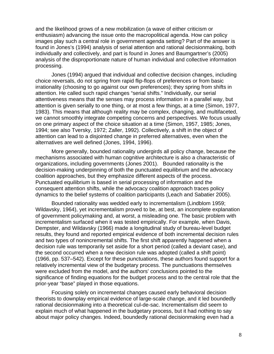and the likelihood grows of a new mobilization (a wave of either criticism or enthusiasm) advancing the issue onto the macropolitical agenda. How can policy images play such a central role in government agenda setting? Part of the answer is found in Jones's (1994) analysis of serial attention and rational decisionmaking, both individually and collectively, and part is found in Jones and Baumgartner's (2005) analysis of the disproportionate nature of human individual and collective information processing.

Jones (1994) argued that individual and collective decision changes, including choice reversals, do not spring from rapid flip-flops of preferences or from basic irrationality (choosing to go against our own preferences); they spring from shifts in attention. He called such rapid changes "serial shifts." Individually, our serial attentiveness means that the senses may process information in a parallel way, but attention is given serially to one thing, or at most a few things, at a time (Simon, 1977, 1983). This means that although reality may be complex, changing, and multifaceted, we cannot smoothly integrate competing concerns and perspectives. We focus usually on one primary aspect of the choice situation at a time (Simon, 1957, 1985; Jones, 1994; see also Tversky, 1972; Zaller, 1992). Collectively, a shift in the object of attention can lead to a disjointed change in preferred alternatives, even when the alternatives are well defined (Jones, 1994, 1996).

More generally, bounded rationality undergirds all policy change, because the mechanisms associated with human cognitive architecture is also a characteristic of organizations, including governments (Jones 2001). Bounded rationality is the decision-making underpinning of both the punctuated equilibrium and the advocacy coalition approaches, but they emphasize different aspects of the process. Punctuated equilibrium is based in serial processing of information and the consequent attention shifts, while the advocacy coalition approach traces policy dynamics to the belief systems of coalition participants (Leach and Sabatier 2005).

Bounded rationality was wedded early to incrementalism (Lindblom 1959; Wildavsky, 1964), yet incrementalism proved to be, at best, an incomplete explanation of government policymaking and, at worst, a misleading one. The basic problem with incrementalism surfaced when it was tested empirically. For example, when Davis, Dempster, and Wildavsky (1966) made a longitudinal study of bureau-level budget results, they found and reported empirical evidence of both incremental decision rules and two types of nonincremental shifts. The first shift apparently happened when a decision rule was temporarily set aside for a short period (called a deviant case), and the second occurred when a new decision rule was adopted (called a shift point) (1966, pp. 537–542). Except for these punctuations, these authors found support for a relatively incremental view of the budgetary process. The punctuations themselves were excluded from the model, and the authors' conclusions pointed to the significance of finding equations for the budget process and to the central role that the prior-year "base" played in those equations.

Focusing solely on incremental changes caused early behavioral decision theorists to downplay empirical evidence of large-scale change, and it led boundedly rational decisionmaking into a theoretical cul-de-sac. Incrementalism did seem to explain much of what happened in the budgetary process, but it had nothing to say about major policy changes. Indeed, boundedly rational decisionmaking even had a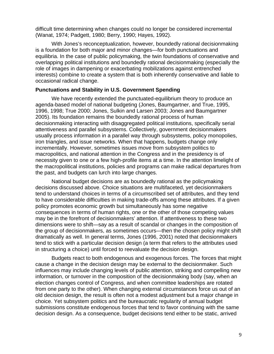difficult time determining when changes could no longer be considered incremental (Wanat, 1974; Padgett, 1980; Berry, 1990; Hayes, 1992).

With Jones's reconceptualization, however, boundedly rational decisionmaking is a foundation for both major and minor changes—for both punctuations and equilibria. In the case of public policymaking, the twin foundations of conservative and overlapping political institutions and boundedly rational decisionmaking (especially the role of images in dampening or exacerbating mobilizations against entrenched interests) combine to create a system that is both inherently conservative and liable to occasional radical change.

### **Punctuations and Stability in U.S. Government Spending**

We have recently extended the punctuated-equilibrium theory to produce an agenda-based model of national budgeting (Jones, Baumgartner, and True, 1995, 1996, 1998; True 2000; Jones, Sulkin and Larsen 2003; Jones and Baumgartner 2005). Its foundation remains the boundedly rational process of human decisionmaking interacting with disaggregated political institutions, specifically serial attentiveness and parallel subsystems. Collectively, government decisionmakers usually process information in a parallel way through subsystems, policy monopolies, iron triangles, and issue networks. When that happens, budgets change only incrementally. However, sometimes issues move from subsystem politics to macropolitics, and national attention in the Congress and in the presidency is of necessity given to one or a few high-profile items at a time. In the attention limelight of the macropolitical institutions, policies and programs can make radical departures from the past, and budgets can lurch into large changes.

National budget decisions are as boundedly rational as the policymaking decisions discussed above. Choice situations are multifaceted, yet decisionmakers tend to understand choices in terms of a circumscribed set of attributes, and they tend to have considerable difficulties in making trade-offs among these attributes. If a given policy promotes economic growth but simultaneously has some negative consequences in terms of human rights, one or the other of those competing values may be in the forefront of decisionmakers' attention. If attentiveness to these two dimensions were to shift—say as a result of scandal or changes in the composition of the group of decisionmakers, as sometimes occurs—then the chosen policy might shift dramatically as well. In general terms, Jones (1996, 2001) noted that decisionmakers tend to stick with a particular decision design (a term that refers to the attributes used in structuring a choice) until forced to reevaluate the decision design.

Budgets react to both endogenous and exogenous forces. The forces that might cause a change in the decision design may be external to the decisionmaker. Such influences may include changing levels of public attention, striking and compelling new information, or turnover in the composition of the decisionmaking body (say, when an election changes control of Congress, and when committee leaderships are rotated from one party to the other). When changing external circumstances force us out of an old decision design, the result is often not a modest adjustment but a major change in choice. Yet subsystem politics and the bureaucratic regularity of annual budget submissions constitute endogenous forces that tend to favor continuing with the same decision design. As a consequence, budget decisions tend either to be static, arrived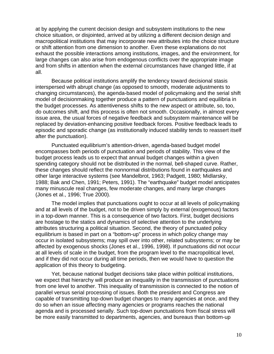at by applying the current decision design and subsystem institutions to the new choice situation, or disjointed, arrived at by utilizing a different decision design and macropolitical institutions that may incorporate new attributes into the choice structure or shift attention from one dimension to another. Even these explanations do not exhaust the possible interactions among institutions, images, and the environment, for large changes can also arise from endogenous conflicts over the appropriate image and from shifts in attention when the external circumstances have changed little, if at all.

Because political institutions amplify the tendency toward decisional stasis interspersed with abrupt change (as opposed to smooth, moderate adjustments to changing circumstances), the agenda-based model of policymaking and the serial shift model of decisionmaking together produce a pattern of punctuations and equilibria in the budget processes. As attentiveness shifts to the new aspect or attribute, so, too, do outcomes shift, and this process is often not smooth. Occasionally, in almost every issue area, the usual forces of negative feedback and subsystem maintenance will be replaced by deviation-enhancing positive feedback forces. Positive feedback leads to episodic and sporadic change (as institutionally induced stability tends to reassert itself after the punctuation).

Punctuated equilibrium's attention-driven, agenda-based budget model encompasses both periods of punctuation and periods of stability. This view of the budget process leads us to expect that annual budget changes within a given spending category should not be distributed in the normal, bell-shaped curve. Rather, these changes should reflect the nonnormal distributions found in earthquakes and other large interactive systems (see Mandelbrot, 1963; Padgett, 1980; Midlarsky, 1988; Bak and Chen, 1991; Peters, 1991). The "earthquake" budget model anticipates many minuscule real changes, few moderate changes, and many large changes (Jones et al., 1996; True 2000).

The model implies that punctuations ought to occur at all levels of policymaking and at all levels of the budget, not to be driven simply by external (exogenous) factors in a top-down manner. This is a consequence of two factors. First, budget decisions are hostage to the statics and dynamics of selective attention to the underlying attributes structuring a political situation. Second, the theory of punctuated policy equilibrium is based in part on a "bottom-up" process in which policy change may occur in isolated subsystems; may spill over into other, related subsystems; or may be affected by exogenous shocks (Jones et al., 1996, 1998). If punctuations did not occur at all levels of scale in the budget, from the program level to the macropolitical level, and if they did not occur during all time periods, then we would have to question the application of this theory to budgeting.

Yet, because national budget decisions take place within political institutions, we expect that hierarchy will produce an inequality in the transmission of punctuations from one level to another. This inequality of transmission is connected to the notion of parallel versus serial processing of issues. Both the president and Congress are capable of transmitting top-down budget changes to many agencies at once, and they do so when an issue affecting many agencies or programs reaches the national agenda and is processed serially. Such top-down punctuations from fiscal stress will be more easily transmitted to departments, agencies, and bureaus than bottom-up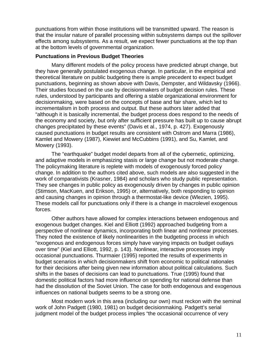punctuations from within those institutions will be transmitted upward. The reason is that the insular nature of parallel processing within subsystems damps out the spillover effects among subsystems. As a result, we expect fewer punctuations at the top than at the bottom levels of governmental organization.

## **Punctuations in Previous Budget Theories**

Many different models of the policy process have predicted abrupt change, but they have generally postulated exogenous change. In particular, in the empirical and theoretical literature on public budgeting there is ample precedent to expect budget punctuations, beginning as shown above with Davis, Dempster, and Wildavsky (1966). Their studies focused on the use by decisionmakers of budget decision rules. These rules, understood by participants and offering a stable organizational environment for decisionmaking, were based on the concepts of base and fair share, which led to incrementalism in both process and output. But these authors later added that "although it is basically incremental, the budget process does respond to the needs of the economy and society, but only after sufficient pressure has built up to cause abrupt changes precipitated by these events" (Davis et al., 1974, p. 427). Exogenously caused punctuations in budget results are consistent with Ostrom and Marra (1986), Kamlet and Mowery (1987), Kiewiet and McCubbins (1991), and Su, Kamlet, and Mowery (1993).

The "earthquake" budget model departs from all of the cybernetic, optimizing, and adaptive models in emphasizing stasis or large change but not moderate change. The policymaking literature is replete with models of exogenously forced policy change. In addition to the authors cited above, such models are also suggested in the work of comparativists (Krasner, 1984) and scholars who study public representation. They see changes in public policy as exogenously driven by changes in public opinion (Stimson, MacKuen, and Erikson, 1995) or, alternatively, both responding to opinion and causing changes in opinion through a thermostat-like device (Wlezien, 1995). These models call for punctuations only if there is a change in macrolevel exogenous forces.

Other authors have allowed for complex interactions between endogenous and exogenous budget changes. Kiel and Elliott (1992) approached budgeting from a perspective of nonlinear dynamics, incorporating both linear and nonlinear processes. They noted the existence of likely nonlinearities in the budgeting process in which "exogenous and endogenous forces simply have varying impacts on budget outlays over time" (Kiel and Elliott, 1992, p. 143). Nonlinear, interactive processes imply occasional punctuations. Thurmaier (1995) reported the results of experiments in budget scenarios in which decisionmakers shift from economic to political rationales for their decisions after being given new information about political calculations. Such shifts in the bases of decisions can lead to punctuations. True (1995) found that domestic political factors had more influence on spending for national defense than had the dissolution of the Soviet Union. The case for both endogenous and exogenous influences on national budgets seems to be a strong one.

Most modern work in this area (including our own) must reckon with the seminal work of John Padgett (1980, 1981) on budget decisionmaking. Padgett's serial judgment model of the budget process implies "the occasional occurrence of very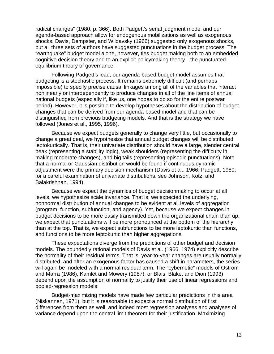radical changes" (1980, p. 366). Both Padgett's serial judgment model and our agenda-based approach allow for endogenous mobilizations as well as exogenous shocks. Davis, Dempster, and Wildavsky (1966) suggested only exogenous shocks, but all three sets of authors have suggested punctuations in the budget process. The "earthquake" budget model alone, however, ties budget making both to an embedded cognitive decision theory and to an explicit policymaking theory—the punctuatedequilibrium theory of governance.

Following Padgett's lead, our agenda-based budget model assumes that budgeting is a stochastic process. It remains extremely difficult (and perhaps impossible) to specify precise causal linkages among all of the variables that interact nonlinearly or interdependently to produce changes in all of the line items of annual national budgets (especially if, like us, one hopes to do so for the entire postwar period). However, it is possible to develop hypotheses about the distribution of budget changes that can be derived from our agenda-based model and that can be distinguished from previous budgeting models. And that is the strategy we have followed (Jones et al., 1995, 1996).

Because we expect budgets generally to change very little, but occasionally to change a great deal, we hypothesize that annual budget changes will be distributed leptokurtically. That is, their univariate distribution should have a large, slender central peak (representing a stability logic), weak shoulders (representing the difficulty in making moderate changes), and big tails (representing episodic punctuations). Note that a normal or Gaussian distribution would be found if continuous dynamic adjustment were the primary decision mechanism (Davis et al., 1966; Padgett, 1980; for a careful examination of univariate distributions, see Johnson, Kotz, and Balakrishnan, 1994).

Because we expect the dynamics of budget decisionmaking to occur at all levels, we hypothesize scale invariance. That is, we expected the underlying, nonnormal distribution of annual changes to be evident at all levels of aggregation (program, function, subfunction, and agency). Yet, because we expect changes in budget decisions to be more easily transmitted down the organizational chain than up, we expect that punctuations will be more pronounced at the bottom of the hierarchy than at the top. That is, we expect subfunctions to be more leptokurtic than functions, and functions to be more leptokurtic than higher aggregations.

These expectations diverge from the predictions of other budget and decision models. The boundedly rational models of Davis et al. (1966, 1974) explicitly describe the normality of their residual terms. That is, year-to-year changes are usually normally distributed, and after an exogenous factor has caused a shift in parameters, the series will again be modeled with a normal residual term. The "cybernetic" models of Ostrom and Marra (1986), Kamlet and Mowery (1987), or Blais, Blake, and Dion (1993) depend upon the assumption of normality to justify their use of linear regressions and pooled-regression models.

Budget-maximizing models have made few particular predictions in this area (Niskannen, 1971), but it is reasonable to expect a normal distribution of first differences from them as well, and indeed most regression analyses and analyses of variance depend upon the central limit theorem for their justification. Maximizing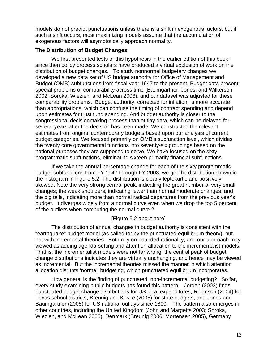models do not predict punctuations unless there is a shift in exogenous factors, but if such a shift occurs, most maximizing models assume that the accumulation of exogenous factors will asymptotically approach normality.

## **The Distribution of Budget Changes**

We first presented tests of this hypothesis in the earlier edition of this book; since then policy process scholars have produced a virtual explosion of work on the distribution of budget changes. To study nonnormal budgetary changes we developed a new data set of US budget authority for Office of Management and Budget (OMB) subfunctions from fiscal year 1947 to the present. Budget data present special problems of comparability across time (Baumgartner, Jones, and Wilkerson 2002; Soroka, Wlezien, and McLean 2006), and our dataset was adjusted for these comparability problems. Budget authority, corrected for inflation, is more accurate than appropriations, which can confuse the timing of contract spending and depend upon estimates for trust fund spending. And budget authority is closer to the congressional decisionmaking process than outlay data, which can be delayed for several years after the decision has been made. We constructed the relevant estimates from original contemporary budgets based upon our analysis of current budget categories. We focused primarily on OMB's subfunction level, which divides the twenty core governmental functions into seventy-six groupings based on the national purposes they are supposed to serve. We have focused on the sixty programmatic subfunctions, eliminating sixteen primarily financial subfunctions.

If we take the annual percentage change for each of the sixty programmatic budget subfunctions from FY 1947 through FY 2003, we get the distribution shown in the histogram in Figure 5.2. The distribution is clearly leptokurtic and positively skewed. Note the very strong central peak, indicating the great number of very small changes; the weak shoulders, indicating fewer than normal moderate changes; and the big tails, indicating more than normal radical departures from the previous year's budget. It diverges widely from a normal curve even when we drop the top 5 percent of the outliers when computing the normal curve.2

## [Figure 5.2 about here]

The distribution of annual changes in budget authority is consistent with the "earthquake" budget model (as called for by the punctuated-equilibrium theory), but not with incremental theories. Both rely on bounded rationality, and our approach may viewed as adding agenda-setting and attention allocation to the incrementalist models. That is, the incrementalist models were not far wrong; the central peak of budget change distributions indicates they are virtually unchanging, and hence may be viewed as incremental. But the incremental theories missed the manner in which attention allocation disrupts 'normal' budgeting, which punctuated equilibrium incorporates.

How general is the finding of punctuated, non-incremental budgeting? So far, every study examining public budgets has found this pattern. Jordan (2003) finds punctuated budget change distributions for US local expenditures, Robinson (2004) for Texas school districts, Breunig and Koske (2005) for state budgets, and Jones and Baumgartner (2005) for US national outlays since 1800. The pattern also emerges in other countries, including the United Kingdom (John and Margetts 2003; Soroka, Wlezien, and McLean 2006), Denmark (Breunig 2006; Mortensen 2005), Germany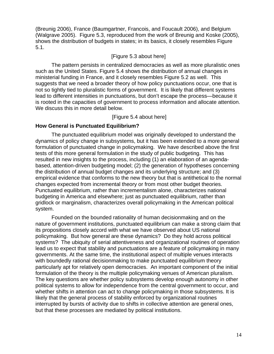(Breunig 2006), France (Baumgartner, Francois, and Foucault 2006), and Belgium (Walgrave 2005). Figure 5.3, reproduced from the work of Breunig and Koske (2005), shows the distribution of budgets in states; in its basics, it closely resembles Figure 5.1.

## [Figure 5.3 about here]

The pattern persists in centralized democracies as well as more pluralistic ones such as the United States. Figure 5.4 shows the distribution of annual changes in ministerial funding in France, and it closely resembles Figure 5.2 as well. This suggests that we need a broader theory of how policy punctuations occur, one that is not so tightly tied to pluralistic forms of government. It is likely that different systems lead to different intensities in punctuations, but don't escape the process—because it is rooted in the capacities of government to process information and allocate attention. We discuss this in more detail below.

## [Figure 5.4 about here]

## **How General is Punctuated Equilibrium?**

The punctuated equilibrium model was originally developed to understand the dynamics of policy change in subsystems, but it has been extended to a more general formulation of punctuated change in policymaking. We have described above the first tests of this more general formulation in the study of public budgeting. This has resulted in new insights to the process, including (1) an elaboration of an agendabased, attention-driven budgeting model; (2) the generation of hypotheses concerning the distribution of annual budget changes and its underlying structure; and (3) empirical evidence that conforms to the new theory but that is antithetical to the normal changes expected from incremental theory or from most other budget theories. Punctuated equilibrium, rather than incrementalism alone, characterizes national budgeting in America and elsewhere; just as punctuated equilibrium, rather than gridlock or marginalism, characterizes overall policymaking in the American political system.

Founded on the bounded rationality of human decisionmaking and on the nature of government institutions, punctuated equilibrium can make a strong claim that its propositions closely accord with what we have observed about US national policymaking. But how general are these dynamics? Do they hold across political systems? The ubiquity of serial attentiveness and organizational routines of operation lead us to expect that stability and punctuations are a feature of policymaking in many governments. At the same time, the institutional aspect of multiple venues interacts with boundedly rational decisionmaking to make punctuated equilibrium theory particularly apt for relatively open democracies. An important component of the initial formulation of the theory is the multiple policymaking venues of American pluralism. The key questions are whether policy subsystems develop enough autonomy in other political systems to allow for independence from the central government to occur, and whether shifts in attention can act to change policymaking in those subsystems. It is likely that the general process of stability enforced by organizational routines interrupted by bursts of activity due to shifts in collective attention are general ones, but that these processes are mediated by political institutions.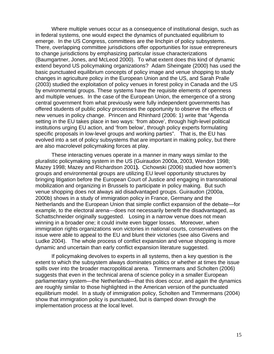Where multiple venues occur as a consequence of institutional design, such as in federal systems, one would expect the dynamics of punctuated equilibrium to emerge. In the US Congress, committees are the linchpin of policy subsystems. There, overlapping committee jurisdictions offer opportunities for issue entrepreneurs to change jurisdictions by emphasizing particular issue characterizations (Baumgartner, Jones, and McLeod 2000). To what extent does this kind of dynamic extend beyond US policymaking organizations? Adam Sheingate (2000) has used the basic punctuated equilibrium concepts of policy image and venue shopping to study changes in agriculture policy in the European Union and the US, and Sarah Pralle (2003) studied the exploitation of policy venues in forest policy in Canada and the US by environmental groups. These systems have the requisite elements of openness and multiple venues. In the case of the European Union, the emergence of a strong central government from what previously were fully independent governments has offered students of public policy processes the opportunity to observe the effects of new venues in policy change. Princen and Rhinhard (2006: 1) write that "Agenda setting in the EU takes place in two ways: 'from above', through high-level political institutions urging EU action, and 'from below', through policy experts formulating specific proposals in low-level groups and working parties". That is, the EU has evolved into a set of policy subsystems that are important in making policy, but there are also macrolevel policymaking forces at play.

These interacting venues operate in a manner in many ways similar to the pluralistic policymaking system in the US (Guiraudon 2000a, 2003, Wendon 1998; Mazey 1998; Mazey and Richardson 2001**).** Cichowski (2006) studied how women's groups and environmental groups are utilizing EU level opportunity structures by bringing litigation before the European Court of Justice and engaging in transnational mobilization and organizing in Brussels to participate in policy making. But such venue shopping does not always aid disadvantaged groups. Guiraudon (2000a, 2000b) shows in a study of immigration policy in France, Germany and the Netherlands and the European Union that simple conflict expansion of the debate—for example, to the electoral arena---does not necessarily benefit the disadvantaged, as Schattschneider originally suggested. Losing in a narrow venue does not mean winning in a broader one; it could invite even bigger losses. Moreover, when immigration rights organizations won victories in national courts, conservatives on the issue were able to appeal to the EU and blunt their victories (see also Givens and Ludke 2004). The whole process of conflict expansion and venue shopping is more dynamic and uncertain than early conflict expansion literature suggested.

If policymaking devolves to experts in all systems, then a key question is the extent to which the subsystem always dominates politics or whether at times the issue spills over into the broader macropolitical arena. Timmermans and Scholten (2006) suggests that even in the technical arena of science policy in a smaller European parliamentary system—the Netherlands—that this does occur, and again the dynamics are roughly similar to those highlighted in the American version of the punctuated equilibrium model. In a study of immigration policy, Scholten and Timmermans (2004) show that immigration policy is punctuated, but is damped down through the implementation process at the local level.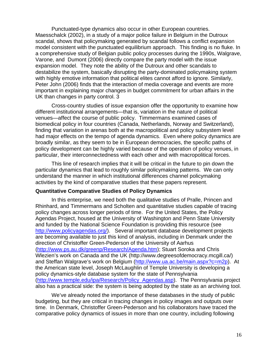Punctuated-type dynamics also occur in other European countries. Maesschalck (2002), in a study of a major police failure in Belgium in the Dutroux scandal, shows that policymaking generated by scandal follows a conflict expansion model consistent with the punctuated equilibrium approach. This finding is no fluke. In a comprehensive study of Belgian public policy processes during the 1990s, Walgrave, Varone, and Dumont (2006) directly compare the party model with the issue expansion model. They note the ability of the Dutroux and other scandals to destabilize the system, basically disrupting the party-dominated policymaking system with highly emotive information that political elites cannot afford to ignore. Similarly, Peter John (2006) finds that the interaction of media coverage and events are more important in explaining major changes in budget commitment for urban affairs in the UK than changes in party control. 3

Cross-country studies of issue expansion offer the opportunity to examine how different institutional arrangements—that is, variation in the nature of political venues—affect the course of public policy. Timmermans examined cases of biomedical policy in four countries (Canada, Netherlands, Norway and Switzerland), finding that variation in arenas both at the macropolitical and policy subsystem level had major effects on the tempo of agenda dynamics. Even where policy dynamics are broadly similar, as they seem to be in European democracies, the specific paths of policy development can be highly varied because of the operation of policy venues, in particular, their interconnectedness with each other and with macropolitical forces.

This line of research implies that it will be critical in the future to pin down the particular dynamics that lead to roughly similar policymaking patterns. We can only understand the manner in which institutional differences channel policymaking activities by the kind of comparative studies that these papers represent.

#### **Quantitative Comparative Studies of Policy Dynamics**

In this enterprise, we need both the qualitative studies of Pralle, Princen and Rhinhard, and Timmermans and Scholten and quantitative studies capable of tracing policy changes across longer periods of time. For the United States, the Policy Agendas Project, housed at the University of Washington and Penn State University and funded by the National Science Foundation is providing this resource (see http://www.policyagendas.org/). Several important database development projects are becoming available to just this kind of analysis, including in Denmark under the direction of Christoffer Green-Pederson of the University of Aarhus (http://www.ps.au.dk/greenp/Research/Agenda.htm); Stuart Soroka and Chris Wlezien's work on Canada and the UK (http://www.degreesofdemocracy.mcgill.ca/) and Steffan Walgrave's work on Belgium (http://www.ua.ac.be/main.aspx?c=m2p). At the American state level, Joseph McLaughlin of Temple University is developing a policy dynamics-style database system for the state of Pennsylvania (http://www.temple.edu/ipa/Research/Policy\_Agendas.asp). The Pennsylvania project also has a practical side: the system is being adopted by the state as an archiving tool.

We've already noted the importance of these databases in the study of public budgeting, but they are critical in tracing changes in policy images and outputs over time. In Denmark, Christoffer Green-Pederson and his collaborators have traced the comparative policy dynamics of issues in more than one country, including following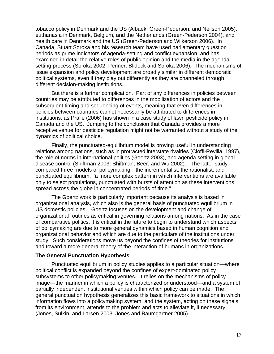tobacco policy in Denmark and the US (Albaek, Green-Pederson, and Neilson 2005), euthanasia in Denmark, Belgium, and the Netherlands (Green-Pederson 2004), and health care in Denmark and the US (Green-Pederson and Wilkerson 2006). In Canada, Stuart Soroka and his research team have used parliamentary question periods as prime indicators of agenda-setting and conflict expansion, and has examined in detail the relative roles of public opinion and the media in the agendasetting process (Soroka 2002; Penner, Blidock and Soroka 2006). The mechanisms of issue expansion and policy development are broadly similar in different democratic political systems, even if they play out differently as they are channeled through different decision-making institutions.

But there is a further complication. Part of any differences in policies between countries may be attributed to differences in the mobilization of actors and the subsequent timing and sequencing of events, meaning that even differences in policies between countries cannot necessarily be attributed to differences in institutions, as Pralle (2006) has shown in a case study of lawn pesticide policy in Canada and the US. Jumping to the conclusion that Canada provides a more receptive venue for pesticide regulation might not be warranted without a study of the dynamics of political choice.

Finally, the punctuated-equilibrium model is proving useful in understanding relations among nations, such as in protracted interstate rivalries (Cioffi-Revilla, 1997), the role of norms in international politics (Goertz 2003), and agenda setting in global disease control (Shiftman 2003; Shiftman, Beer, and Wu 2002). The latter study compared three models of policymaking—the incrementalist, the rationalist, and punctuated equilibrium, ''a more complex pattern in which interventions are available only to select populations, punctuated with bursts of attention as these interventions spread across the globe in concentrated periods of time."

The Goertz work is particularly important because its analysis is based in organizational analysis, which also is the general basis of punctuated equilibrium in US domestic policies. Goertz focuses on the development and change of organizational routines as critical in governing relations among nations. As in the case of comparative politics, it is critical in the future to begin to understand which aspects of policymaking are due to more general dynamics based in human cognition and organizational behavior and which are due to the particulars of the institutions under study. Such considerations move us beyond the confines of theories for institutions and toward a more general theory of the interaction of humans in organizations.

#### **The General Punctuation Hypothesis**

Punctuated equilibrium in policy studies applies to a particular situation—where political conflict is expanded beyond the confines of expert-dominated policy subsystems to other policymaking venues. It relies on the mechanisms of policy image—the manner in which a policy is characterized or understood—and a system of partially independent institutional venues within which policy can be made. The general punctuation hypothesis generalizes this basic framework to situations in which information flows into a policymaking system, and the system, acting on these signals from its environment, attends to the problem and acts to alleviate it, if necessary (Jones, Sulkin, and Larsen 2003; Jones and Baumgartner 2005).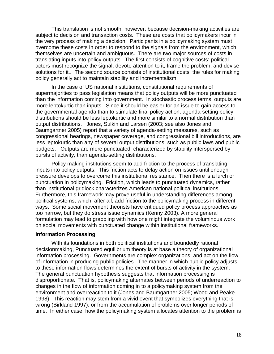This translation is not smooth, however, because decision-making activities are subject to decision and transaction costs. These are costs that policymakers incur in the very process of making a decision. Participants in a policymaking system must overcome these costs in order to respond to the signals from the environment, which themselves are uncertain and ambiguous. There are two major sources of costs in translating inputs into policy outputs. The first consists of cognitive costs: political actors must recognize the signal, devote attention to it, frame the problem, and devise solutions for it.. The second source consists of institutional costs: the rules for making policy generally act to maintain stability and incrementalism.

In the case of US national institutions, constitutional requirements of supermajorities to pass legislation means that policy outputs will be more punctuated than the information coming into government. In stochastic process terms, outputs are more leptokurtic than inputs. Since it should be easier for an issue to gain access to the governmental agenda than to stimulate final policy action, agenda-setting policy distributions should be less leptokurtic and more similar to a normal distribution than output distributions. Jones, Sulkin and Larsen (2003; see also Jones and Baumgartner 2005) report that a variety of agenda-setting measures, such as congressional hearings, newspaper coverage, and congressional bill introductions, are less leptokurtic than any of several output distributions, such as public laws and public budgets. Outputs are more punctuated, characterized by stability interspersed by bursts of activity, than agenda-setting distributions.

Policy making institutions seem to add friction to the process of translating inputs into policy outputs. This friction acts to delay action on issues until enough pressure develops to overcome this institutional resistance. Then there is a lurch or punctuation in policymaking. Friction, which leads to punctuated dynamics, rather than institutional gridlock characterizes American national political institutions. Furthermore, this framework may prove useful in understanding differences among political systems, which, after all, add friction to the policymaking process in different ways. Some social movement theorists have critiqued policy process approaches as too narrow, but they do stress issue dynamics (Kenny 2003). A more general formulation may lead to grappling with how one might integrate the voluminous work on social movements with punctuated change within institutional frameworks.

#### **Information Processing**

With its foundations in both political institutions and boundedly rational decisionmaking, Punctuated equilibrium theory is at base a theory of organizational information processing. Governments are complex organizations, and act on the flow of information in producing public policies. The manner in which public policy adjusts to these information flows determines the extent of bursts of activity in the system. The general punctuation hypothesis suggests that information processing is disproportionate. That is, policymaking alternates between periods of underreaction to changes in the flow of information coming in to a policymaking system from the environment and overreaction to it (Jones and Baumgartner 2005; Wood and Peake 1998). This reaction may stem from a vivid event that symbolizes everything that is wrong (Birkland 1997), or from the accumulation of problems over longer periods of time. In either case, how the policymaking system allocates attention to the problem is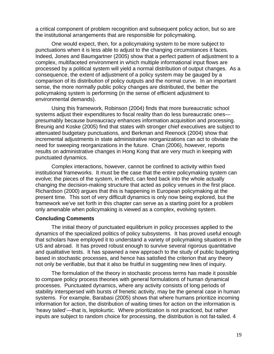a critical component of problem recognition and subsequent policy action, but so are the institutional arrangements that are responsible for policymaking.

One would expect, then, for a policymaking system to be more subject to punctuations when it is less able to adjust to the changing circumstances it faces. Indeed, Jones and Baumgartner (2005) show that a perfect pattern of adjustment to a complex, multifaceted environment in which multiple informational input flows are processed by a political system will yield a normal distribution of output changes. As a consequence, the extent of adjustment of a policy system may be gauged by a comparison of its distribution of policy outputs and the normal curve. In an important sense, the more normally public policy changes are distributed, the better the policymaking system is performing (in the sense of efficient adjustment to environmental demands).

Using this framework, Robinson (2004) finds that more bureaucratic school systems adjust their expenditures to fiscal reality than do less bureaucratic ones presumably because bureaucracy enhances information acquisition and processing. Breunig and Koske (2005) find that states with stronger chief executives are subject to attenuated budgetary punctuations, and Berkman and Reenock (2004) show that incremental adjustments in state administrative reorganizations can act to obviate the need for sweeping reorganizations in the future. Chan (2006), however, reports results on administrative changes in Hong Kong that are very much in keeping with punctuated dynamics.

Complex interactions, however, cannot be confined to activity within fixed institutional frameworks. It must be the case that the entire policymaking system can evolve; the pieces of the system, in effect, can feed back into the whole actually changing the decision-making structure that acted as policy venues in the first place. Richardson (2000) argues that this is happening in European policymaking at the present time. This sort of very difficult dynamics is only now being explored, but the framework we've set forth in this chapter can serve as a starting point for a problem only amenable when policymaking is viewed as a complex, evolving system.

#### **Concluding Comments**

 The initial theory of punctuated equilibrium in policy processes applied to the dynamics of the specialized politics of policy subsystems. It has proved useful enough that scholars have employed it to understand a variety of policymaking situations in the US and abroad. It has proved robust enough to survive several rigorous quantitative and qualitative tests. It has spawned a new approach to the study of public budgeting based in stochastic processes, and hence has satisfied the criterion that any theory not only be verifiable, but that it also be fruitful in suggesting new lines of inquiry.

The formulation of the theory in stochastic process terms has made it possible to compare policy process theories with general formulations of human dynamical processes. Punctuated dynamics, where any activity consists of long periods of stability interspersed with bursts of frenetic activity, may be the general case in human systems. For example, Barabasi (2005) shows that where humans prioritize incoming information for action, the distribution of waiting times for action on the information is 'heavy tailed'—that is, leptokurtic. Where prioritization is not practiced, but rather inputs are subject to random choice for processing, the distribution is not fat-tailed. 4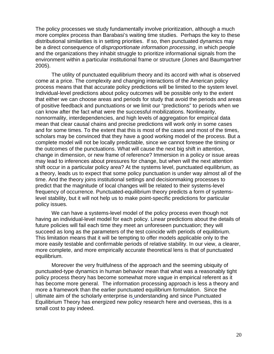The policy processes we study fundamentally involve prioritization, although a much more complex process than Barabasi's waiting time studies. Perhaps the key to these distributional similarities is in setting priorities. If so, then punctuated dynamics may be a direct consequence of *disproportionate information processing*, in which people and the organizations they inhabit struggle to prioritize informational signals from the environment within a particular institutional frame or structure (Jones and Baumgartner 2005).

The utility of punctuated equilibrium theory and its accord with what is observed come at a price. The complexity and changing interactions of the American policy process means that that accurate policy predictions will be limited to the system level. Individual-level predictions about policy outcomes will be possible only to the extent that either we can choose areas and periods for study that avoid the periods and areas of positive feedback and punctuations or we limit our "predictions" to periods when we can know after the fact what were the successful mobilizations. Nonlinearity, nonnormality, interdependencies, and high levels of aggregation for empirical data mean that clear causal chains and precise predictions will work only in some cases and for some times. To the extent that this is most of the cases and most of the times, scholars may be convinced that they have a good working model of the process. But a complete model will not be locally predictable, since we cannot foresee the timing or the outcomes of the punctuations. What will cause the next big shift in attention, change in dimension, or new frame of reference? Immersion in a policy or issue areas may lead to inferences about pressures for change, but when will the next attention shift occur in a particular policy area? At the systems level, punctuated equilibrium, as a theory, leads us to expect that some policy punctuation is under way almost all of the time. And the theory joins institutional settings and decisionmaking processes to predict that the magnitude of local changes will be related to their systems-level frequency of occurrence. Punctuated-equilibrium theory predicts a form of systemslevel stability, but it will not help us to make point-specific predictions for particular policy issues.

We can have a systems-level model of the policy process even though not having an individual-level model for each policy. Linear predictions about the details of future policies will fail each time they meet an unforeseen punctuation; they will succeed as long as the parameters of the test coincide with periods of equilibrium. This limitation means that it will be tempting to offer models applicable only to the more easily testable and confirmable periods of relative stability. In our view, a clearer, more complete, and more empirically accurate theoretical lens is that of punctuated equilibrium.

Moreover the very fruitfulness of the approach and the seeming ubiquity of punctuated-type dynamics in human behavior mean that what was a reasonably tight policy process theory has become somewhat more vague in empirical referent as it has become more general. The information processing approach is less a theory and more a framework than the earlier punctuated equilibrium formulation. Since the ultimate aim of the scholarly enterprise is understanding and since Punctuated Equilibrium Theory has energized new policy research here and overseas, this is a small cost to pay indeed.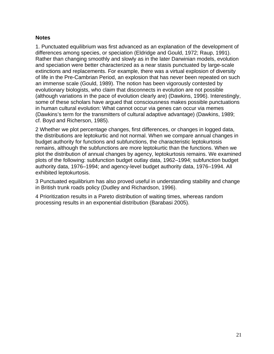## **Notes**

1. Punctuated equilibrium was first advanced as an explanation of the development of differences among species, or speciation (Eldridge and Gould, 1972; Raup, 1991). Rather than changing smoothly and slowly as in the later Darwinian models, evolution and speciation were better characterized as a near stasis punctuated by large-scale extinctions and replacements. For example, there was a virtual explosion of diversity of life in the Pre-Cambrian Period, an explosion that has never been repeated on such an immense scale (Gould, 1989). The notion has been vigorously contested by evolutionary biologists, who claim that disconnects in evolution are not possible (although variations in the pace of evolution clearly are) (Dawkins, 1996). Interestingly, some of these scholars have argued that consciousness makes possible punctuations in human cultural evolution: What cannot occur via genes can occur via memes (Dawkins's term for the transmitters of cultural adaptive advantage) (Dawkins, 1989; cf. Boyd and Richerson, 1985).

2 Whether we plot percentage changes, first differences, or changes in logged data, the distributions are leptokurtic and not normal. When we compare annual changes in budget authority for functions and subfunctions, the characteristic leptokurtosis remains, although the subfunctions are more leptokurtic than the functions. When we plot the distribution of annual changes by agency, leptokurtosis remains. We examined plots of the following: subfunction budget outlay data, 1962–1994; subfunction budget authority data, 1976–1994; and agency-level budget authority data, 1976–1994. All exhibited leptokurtosis.

3 Punctuated equilibrium has also proved useful in understanding stability and change in British trunk roads policy (Dudley and Richardson, 1996).

4 Prioritization results in a Pareto distribution of waiting times, whereas random processing results in an exponential distribution (Barabasi 2005).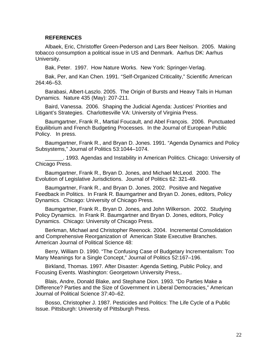### **REFERENCES**

Albaek, Eric, Christoffer Green-Pederson and Lars Beer Neilson. 2005. Making tobacco consumption a political issue in US and Denmark. Aarhus DK: Aarhus University.

Bak, Peter. 1997. How Nature Works. New York: Springer-Verlag.

Bak, Per, and Kan Chen. 1991. "Self-Organized Criticality," Scientific American 264:46–53.

Barabasi, Albert-Laszlo. 2005. The Origin of Bursts and Heavy Tails in Human Dynamics. Nature 435 (May): 207-211.

Baird, Vanessa. 2006. Shaping the Judicial Agenda: Justices' Priorities and Litigant's Strategies. Charlottesville VA: University of Virginia Press.

Baumgartner, Frank R., Martial Foucault, and Abel François. 2006. Punctuated Equilibrium and French Budgeting Processes. In the Journal of European Public Policy. In press.

Baumgartner, Frank R., and Bryan D. Jones. 1991. "Agenda Dynamics and Policy Subsystems," Journal of Politics 53:1044–1074.

\_\_\_\_\_\_. 1993. Agendas and Instability in American Politics. Chicago: University of Chicago Press.

Baumgartner, Frank R., Bryan D. Jones, and Michael McLeod. 2000. The Evolution of Legislative Jurisdictions. Journal of Politics 62: 321-49.

Baumgartner, Frank R., and Bryan D. Jones. 2002. Positive and Negative Feedback in Politics. In Frank R. Baumgartner and Bryan D. Jones, editors, Policy Dynamics. Chicago: University of Chicago Press.

Baumgartner, Frank R., Bryan D. Jones, and John Wilkerson. 2002. Studying Policy Dynamics. In Frank R. Baumgartner and Bryan D. Jones, editors, Policy Dynamics. Chicago: University of Chicago Press.

Berkman, Michael and Christopher Reenock. 2004. Incremental Consolidation and Comprehensive Reorganization of American State Executive Branches. American Journal of Political Science 48:

Berry, William D. 1990. "The Confusing Case of Budgetary Incrementalism: Too Many Meanings for a Single Concept," Journal of Politics 52:167–196.

Birkland, Thomas. 1997. After Disaster: Agenda Setting, Public Policy, and Focusing Events. Washington: Georgetown University Press,.

Blais, Andre, Donald Blake, and Stephane Dion. 1993. "Do Parties Make a Difference? Parties and the Size of Government in Liberal Democracies," American Journal of Political Science 37:40–62.

Bosso, Christopher J. 1987. Pesticides and Politics: The Life Cycle of a Public Issue. Pittsburgh: University of Pittsburgh Press.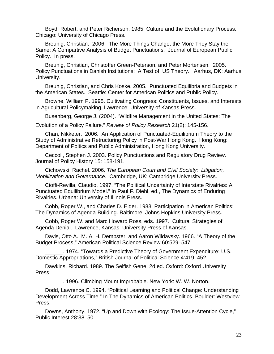Boyd, Robert, and Peter Richerson. 1985. Culture and the Evolutionary Process. Chicago: University of Chicago Press.

Breunig, Christian. 2006. The More Things Change, the More They Stay the Same: A Compartive Analysis of Budget Punctuations. Journal of European Public Policy. In press.

Breunig, Christian, Christoffer Green-Peterson, and Peter Mortensen. 2005. Policy Punctuations in Danish Institutions: A Test of US Theory. Aarhus, DK: Aarhus University.

Breunig, Christian, and Chris Koske. 2005. Punctuated Equilibria and Budgets in the American States. Seattle: Center for American Politics and Public Policy.

Browne, William P. 1995. Cultivating Congress: Constituents, Issues, and Interests in Agricultural Policymaking. Lawrence: University of Kansas Press.

Busenberg, George J. (2004). "Wildfire Management in the United States: The

Evolution of a Policy Failure." *Review of Policy Research* 21(2): 145-156.

Chan, Nikketer. 2006. An Application of Punctuated-Equilibrium Theory to the Study of Administrative Retructuring Policy in Post-War Hong Kong. Hong Kong: Department of Poltics and Public Administration, Hong Kong University.

Ceccoli, Stephen J. 2003. Policy Punctuations and Regulatory Drug Review. Journal of Policy History 15: 158-191.

Cichowski, Rachel. 2006. *The European Court and Civil Society: Litigation, Mobilization and Governance*. Cambridge, UK: Cambridge University Press.

Cioffi-Revilla, Claudio. 1997. "The Political Uncertainty of Interstate Rivalries: A Punctuated Equilibrium Model." In Paul F. Diehl, ed., The Dynamics of Enduring Rivalries. Urbana: University of Illinois Press.

Cobb, Roger W., and Charles D. Elder. 1983. Participation in American Politics: The Dynamics of Agenda-Building. Baltimore: Johns Hopkins University Press.

Cobb, Roger W. and Marc Howard Ross, eds. 1997. Cultural Strategies of Agenda Denial. Lawrence, Kansas: University Press of Kansas.

Davis, Otto A., M. A. H. Dempster, and Aaron Wildavsky. 1966. "A Theory of the Budget Process," American Political Science Review 60:529–547.

\_\_\_\_\_\_. 1974. "Towards a Predictive Theory of Government Expenditure: U.S. Domestic Appropriations," British Journal of Political Science 4:419–452.

Dawkins, Richard. 1989. The Selfish Gene, 2d ed. Oxford: Oxford University Press.

\_\_\_\_\_\_. 1996. Climbing Mount Improbable. New York: W. W. Norton.

Dodd, Lawrence C. 1994. "Political Learning and Political Change: Understanding Development Across Time." In The Dynamics of American Politics. Boulder: Westview Press.

Downs, Anthony. 1972. "Up and Down with Ecology: The Issue-Attention Cycle," Public Interest 28:38–50.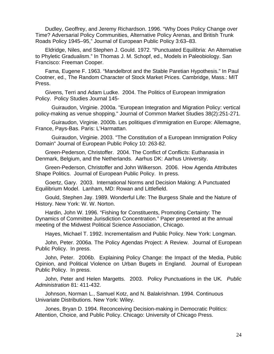Dudley, Geoffrey, and Jeremy Richardson. 1996. "Why Does Policy Change over Time? Adversarial Policy Communities, Alternative Policy Arenas, and British Trunk Roads Policy 1945–95," Journal of European Public Policy 3:63–83.

Eldridge, Niles, and Stephen J. Gould. 1972. "Punctuated Equilibria: An Alternative to Phyletic Gradualism." In Thomas J. M. Schopf, ed., Models in Paleobiology. San Francisco: Freeman Cooper.

Fama, Eugene F. 1963. "Mandelbrot and the Stable Paretian Hypothesis." In Paul Cootner, ed., The Random Character of Stock Market Prices. Cambridge, Mass.: MIT Press.

Givens, Terri and Adam Ludke. 2004. The Politics of European Immigration Policy. Policy Studies Journal 145-

Guiraudon, Virginie. 2000a. "European Integration and Migration Policy: vertical policy-making as venue shopping." Journal of Common Market Studies 38(2):251-271.

Guiraudon, Virginie. 2000b. Les politiques d'immigration en Europe: Allemagne, France, Pays-Bas. Paris: L'Harmattan.

Guiraudon, Virginie. 2003. "The Constitution of a European Immigration Policy Domain" Journal of European Public Policy 10: 263-82.

Green-Pederson, Christoffer. 2004. The Conflict of Conflicts: Euthanasia in Denmark, Belgium, and the Netherlands. Aarhus DK: Aarhus University.

Green-Pederson, Christoffer and John Wilkerson. 2006. How Agenda Attributes Shape Politics. Journal of European Public Policy. In press.

Goertz, Gary. 2003. International Norms and Decision Making: A Punctuated Equilibrium Model. Lanham, MD: Rowan and Littlefield.

Gould, Stephen Jay. 1989. Wonderful Life: The Burgess Shale and the Nature of History. New York: W. W. Norton.

Hardin, John W. 1996. "Fishing for Constituents, Promoting Certainty: The Dynamics of Committee Jurisdiction Concentration." Paper presented at the annual meeting of the Midwest Political Science Association, Chicago.

Hayes, Michael T. 1992. Incrementalism and Public Policy. New York: Longman.

John, Peter. 2006a. The Policy Agendas Project: A Review. Journal of European Public Policy. In press.

John, Peter. 2006b. Explaining Policy Change: the Impact of the Media, Public Opinion, and Political Violence on Urban Bugets in England. Journal of European Public Policy. In press.

John, Peter and Helen Margetts. 2003. Policy Punctuations in the UK*. Public Administration* 81: 411-432.

Johnson, Norman L., Samuel Kotz, and N. Balakrishnan. 1994. Continuous Univariate Distributions. New York: Wiley.

Jones, Bryan D. 1994. Reconceiving Decision-making in Democratic Politics: Attention, Choice, and Public Policy. Chicago: University of Chicago Press.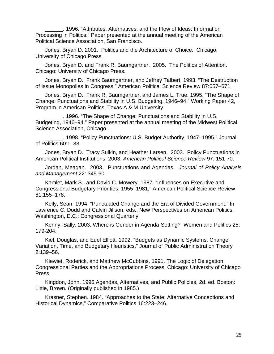\_\_\_\_\_\_. 1996. "Attributes, Alternatives, and the Flow of Ideas: Information Processing in Politics." Paper presented at the annual meeting of the American Political Science Association, San Francisco.

Jones, Bryan D. 2001. Politics and the Architecture of Choice. Chicago: University of Chicago Press.

Jones, Bryan D. and Frank R. Baumgartner. 2005. The Politics of Attention. Chicago: University of Chicago Press.

Jones, Bryan D., Frank Baumgartner, and Jeffrey Talbert. 1993. "The Destruction of Issue Monopolies in Congress," American Political Science Review 87:657–671.

Jones, Bryan D., Frank R. Baumgartner, and James L. True. 1995. "The Shape of Change: Punctuations and Stability in U.S. Budgeting, 1946–94." Working Paper 42, Program in American Politics, Texas A & M University.

\_\_\_\_\_\_. 1996. "The Shape of Change: Punctuations and Stability in U.S. Budgeting, 1946–94." Paper presented at the annual meeting of the Midwest Political Science Association, Chicago.

\_\_\_\_\_\_. 1998. "Policy Punctuations: U.S. Budget Authority, 1947–1995," Journal of Politics 60:1–33.

Jones, Bryan D., Tracy Sulkin, and Heather Larsen. 2003. Policy Punctuations in American Political Institutions. 2003. *American Political Science Review* 97: 151-70.

Jordan, Meagan. 2003. Punctuations and Agendas*. Journal of Policy Analysis and Management* 22: 345-60.

Kamlet, Mark S., and David C. Mowery. 1987. "Influences on Executive and Congressional Budgetary Priorities, 1955–1981," American Political Science Review 81:155–178.

Kelly, Sean. 1994. "Punctuated Change and the Era of Divided Government." In Lawrence C. Dodd and Calvin Jillson, eds., New Perspectives on American Politics. Washington, D.C.: Congressional Quarterly.

Kenny, Sally. 2003. Where is Gender in Agenda-Setting? Women and Politics 25: 179-204.

Kiel, Douglas, and Euel Elliott. 1992. "Budgets as Dynamic Systems: Change, Variation, Time, and Budgetary Heuristics," Journal of Public Administration Theory 2:139–56.

Kiewiet, Roderick, and Matthew McCubbins. 1991. The Logic of Delegation: Congressional Parties and the Appropriations Process. Chicago: University of Chicago Press.

Kingdon, John. 1995 Agendas, Alternatives, and Public Policies, 2d. ed. Boston: Little, Brown. (Originally published in 1985.)

Krasner, Stephen. 1984. "Approaches to the State: Alternative Conceptions and Historical Dynamics," Comparative Politics 16:223–246.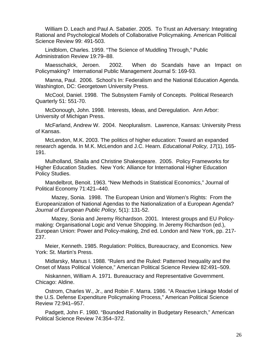William D. Leach and Paul A. Sabatier. 2005. To Trust an Adversary: Integrating Rational and Psychological Models of Collaborative Policymaking. American Political Science Review 99: 491-503.

Lindblom, Charles. 1959. "The Science of Muddling Through," Public Administration Review 19:79–88.

Maesschalck, Jeroen. 2002. When do Scandals have an Impact on Policymaking? International Public Management Journal 5: 169-93.

Manna, Paul. 2006. School's In: Federalism and the National Education Agenda. Washington, DC: Georgetown University Press.

McCool, Daniel. 1998. The Subsystem Family of Concepts. Political Research Quarterly 51: 551-70.

McDonough, John. 1998. Interests, Ideas, and Deregulation. Ann Arbor: University of Michigan Press.

McFarland, Andrew W. 2004. Neopluralism. Lawrence, Kansas: University Press of Kansas.

McLendon, M.K. 2003. The politics of higher education: Toward an expanded research agenda. In M.K. McLendon and J.C. Hearn. *Educational Policy, 17*(1), 165- 191.

Mulholland, Shaila and Christine Shakespeare. 2005. Policy Frameworks for Higher Education Studies. New York: Alliance for International Higher Education Policy Studies.

Mandelbrot, Benoit. 1963. "New Methods in Statistical Economics," Journal of Political Economy 71:421–440.

 Mazey, Sonia. 1998. The European Union and Women's Rights: From the Europeanization of National Agendas to the Nationalization of a European Agenda? *Journal of European Public Policy,* 5(1): 131-52.

Mazey, Sonia and Jeremy Richardson. 2001. Interest groups and EU Policymaking: Organisational Logic and Venue Shopping. In Jeremy Richardson (ed.), European Union: Power and Policy-making, 2nd ed. London and New York, pp. 217- 237.

Meier, Kenneth. 1985. Regulation: Politics, Bureaucracy, and Economics. New York: St. Martin's Press.

Midlarsky, Manus I. 1988. "Rulers and the Ruled: Patterned Inequality and the Onset of Mass Political Violence," American Political Science Review 82:491–509.

Niskannen, William A. 1971. Bureaucracy and Representative Government. Chicago: Aldine.

Ostrom, Charles W., Jr., and Robin F. Marra. 1986. "A Reactive Linkage Model of the U.S. Defense Expenditure Policymaking Process," American Political Science Review 72:941–957.

Padgett, John F. 1980. "Bounded Rationality in Budgetary Research," American Political Science Review 74:354–372.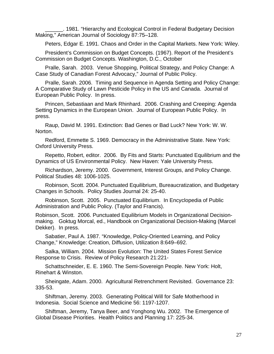\_\_\_\_\_\_. 1981. "Hierarchy and Ecological Control in Federal Budgetary Decision Making," American Journal of Sociology 87:75–128.

Peters, Edgar E. 1991. Chaos and Order in the Capital Markets. New York: Wiley.

President's Commission on Budget Concepts. (1967). Report of the President's Commission on Budget Concepts. Washington, D.C., October

Pralle, Sarah. 2003. Venue Shopping, Political Strategy, and Policy Change: A Case Study of Canadian Forest Advocacy," Journal of Public Policy.

Pralle, Sarah. 2006. Timing and Sequence in Agenda Setting and Policy Change: A Comparative Study of Lawn Pesticide Policy in the US and Canada. Journal of European Public Policy. In press.

Princen, Sebastiaan and Mark Rhinhard. 2006. Crashing and Creeping: Agenda Setting Dynamics in the European Union. Journal of European Public Policy. In press.

Raup, David M. 1991. Extinction: Bad Genes or Bad Luck? New York: W. W. Norton.

Redford, Emmette S. 1969. Democracy in the Administrative State. New York: Oxford University Press.

Repetto, Robert, editor. 2006. By Fits and Starts: Punctuated Equilibrium and the Dynamics of US Environmental Policy. New Haven: Yale University Press.

Richardson, Jeremy. 2000. Government, Interest Groups, and Policy Change. Political Studies 48: 1006-1025.

Robinson, Scott. 2004. Punctuated Equilibrium, Bureaucratization, and Budgetary Changes in Schools. Policy Studies Journal 24: 25-40.

Robinson, Scott. 2005. Punctuated Equilibrium. In Encyclopedia of Public Administration and Public Policy. (Taylor and Francis).

Robinson, Scott. 2006. Punctuated Equilibrium Models in Organizational Decisionmaking. Goktug Morcal, ed., Handbook on Organizational Decision-Making (Marcel Dekker). In press.

Sabatier, Paul A. 1987. "Knowledge, Policy-Oriented Learning, and Policy Change," Knowledge: Creation, Diffusion, Utilization 8:649–692.

Salka, William. 2004. Mission Evolution: The United States Forest Service Response to Crisis. Review of Policy Research 21:221-

Schattschneider, E. E. 1960. The Semi-Sovereign People. New York: Holt, Rinehart & Winston.

Sheingate, Adam. 2000. Agricultural Retrenchment Revisited. Governance 23: 335-53.

Shiftman, Jeremy. 2003. Generating Political Will for Safe Motherhood in Indonesia. Social Science and Medicine 56: 1197-1207.

Shiftman, Jeremy, Tanya Beer, and Yonghong Wu. 2002. The Emergence of Global Disease Priorities. Health Politics and Planning 17: 225-34.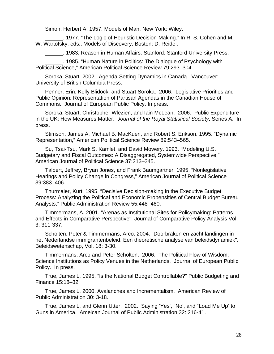Simon, Herbert A. 1957. Models of Man. New York: Wiley.

\_\_\_\_\_\_. 1977. "The Logic of Heuristic Decision-Making." In R. S. Cohen and M. W. Wartofsky, eds., Models of Discovery. Boston: D. Reidel.

**\_\_\_\_\_\_\_.** 1983. Reason in Human Affairs. Stanford: Stanford University Press.

\_\_\_\_\_\_. 1985. "Human Nature in Politics: The Dialogue of Psychology with Political Science," American Political Science Review 79:293–304.

Soroka, Stuart. 2002. Agenda-Setting Dynamics in Canada. Vancouver: University of British Columbia Press.

Penner, Erin, Kelly Blidock, and Stuart Soroka. 2006. Legislative Priorities and Public Opinion: Representation of Partisan Agendas in the Canadian House of Commons. Journal of European Public Policy. In press.

Soroka, Stuart, Christopher Wlezien, and Iain McLean. 2006. Public Expenditure in the UK: How Measures Matter. *Journal of the Royal Statistical Society*, Series A. In press.

Stimson, James A. Michael B. MacKuen, and Robert S. Erikson. 1995. "Dynamic Representation," American Political Science Review 89:543–565.

Su, Tsai-Tsu, Mark S. Kamlet, and David Mowery. 1993. "Modeling U.S. Budgetary and Fiscal Outcomes: A Disaggregated, Systemwide Perspective," American Journal of Political Science 37:213–245.

Talbert, Jeffrey, Bryan Jones, and Frank Baumgartner. 1995. "Nonlegislative Hearings and Policy Change in Congress," American Journal of Political Science 39:383–406.

Thurmaier, Kurt. 1995. "Decisive Decision-making in the Executive Budget Process: Analyzing the Political and Economic Propensities of Central Budget Bureau Analysts." Public Administration Review 55:448–460.

Timmermans, A. 2001. "Arenas as Institutional Sites for Policymaking: Patterns and Effects in Comparative Perspective", Journal of Comparative Policy Analysis Vol. 3: 311-337.

Scholten, Peter & Timmermans, Arco. 2004. "Doorbraken en zacht landingen in het Nederlandse immigrantenbeleid. Een theoretische analyse van beleidsdynamiek", Beleidswetenschap, Vol. 18: 3-30.

Timmermans, Arco and Peter Scholten. 2006. The Political Flow of Wisdom: Science Institutions as Policy Venues in the Netherlands. Journal of European Public Policy. In press.

True, James L. 1995. "Is the National Budget Controllable?" Public Budgeting and Finance 15:18–32.

True, James L. 2000. Avalanches and Incrementalism. American Review of Public Administration 30: 3-18.

True, James L. and Glenn Utter. 2002. Saying 'Yes', "No', and "Load Me Up' to Guns in America. Ameican Journal of Public Administration 32: 216-41.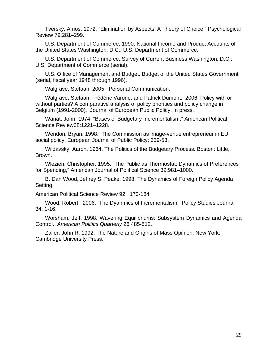Tversky, Amos. 1972. "Elimination by Aspects: A Theory of Choice," Psychological Review 79:281–299.

U.S. Department of Commerce. 1990. National Income and Product Accounts of the United States Washington, D.C.: U.S. Department of Commerce.

U.S. Department of Commerce. Survey of Current Business Washington, D.C.: U.S. Department of Commerce (serial).

U.S. Office of Management and Budget. Budget of the United States Government (serial, fiscal year 1948 through 1996).

Walgrave, Stefaan. 2005. Personal Communication.

Walgrave, Stefaan, Frédéric Varone, and Patrick Dumont. 2006. Policy with or without parties? A comparative analysis of policy priorities and policy change in Belgium (1991-2000). Journal of European Public Policy. In press.

Wanat, John. 1974. "Bases of Budgetary Incrementalism," American Political Science Review68:1221–1228.

Wendon, Bryan. 1998. The Commission as image-venue entrepreneur in EU social policy. European Journal of Public Policy: 339-53.

Wildavsky, Aaron. 1964. The Politics of the Budgetary Process. Boston: Little, Brown.

Wlezien, Christopher. 1995. "The Public as Thermostat: Dynamics of Preferences for Spending," American Journal of Political Science 39:981–1000.

B. Dan Wood, Jeffrey S. Peake. 1998. The Dynamics of Foreign Policy Agenda Setting

American Political Science Review 92: 173-184

Wood, Robert. 2006. The Dyanmics of Incrementalism. Policy Studies Journal 34: 1-16.

Worsham, Jeff. 1998. Wavering Equilibriums: Subsystem Dynamics and Agenda Control. *American Politics Quarterly* 26:485-512.

Zaller, John R. 1992. The Nature and Origins of Mass Opinion. New York: Cambridge University Press.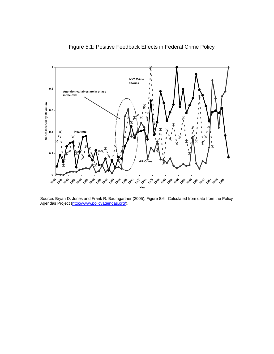

Figure 5.1: Positive Feedback Effects in Federal Crime Policy

Source: Bryan D. Jones and Frank R. Baumgartner (2005), Figure 8.6. Calculated from data from the Policy Agendas Project (http://www.policyagendas.org/).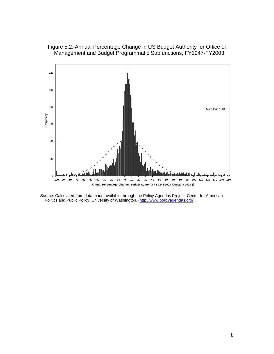



Source: Calculated from data made available through the Policy Agendas Project, Center for American Politics and Public Policy, University of Washington. (http://www.policyagendas.org/).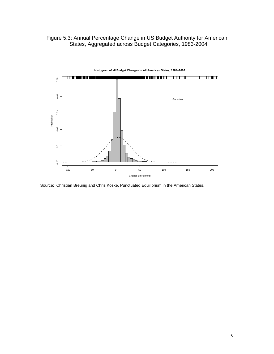## Figure 5.3: Annual Percentage Change in US Budget Authority for American States, Aggregated across Budget Categories, 1983-2004.



Source: Christian Breunig and Chris Koske, Punctuated Equilibrium in the American States.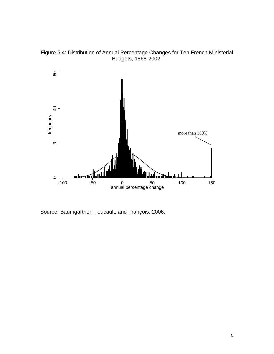Figure 5.4: Distribution of Annual Percentage Changes for Ten French Ministerial Budgets, 1868-2002.



Source: Baumgartner, Foucault, and François, 2006.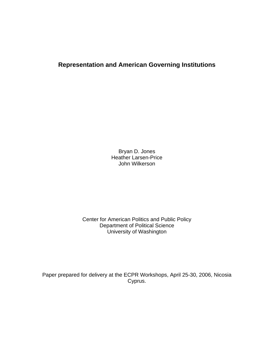## **Representation and American Governing Institutions**

Bryan D. Jones Heather Larsen-Price John Wilkerson

Center for American Politics and Public Policy Department of Political Science University of Washington

Paper prepared for delivery at the ECPR Workshops, April 25-30, 2006, Nicosia Cyprus.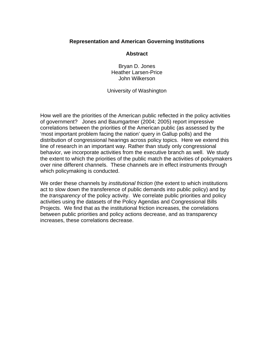## **Representation and American Governing Institutions**

#### **Abstract**

Bryan D. Jones Heather Larsen-Price John Wilkerson

University of Washington

How well are the priorities of the American public reflected in the policy activities of government? Jones and Baumgartner (2004; 2005) report impressive correlations between the priorities of the American public (as assessed by the 'most important problem facing the nation' query in Gallup polls) and the distribution of congressional hearings across policy topics. Here we extend this line of research in an important way. Rather than study only congressional behavior, we incorporate activities from the executive branch as well. We study the extent to which the priorities of the public match the activities of policymakers over nine different channels. These channels are in effect instruments through which policymaking is conducted.

We order these channels by *institutional friction* (the extent to which institutions act to slow down the transference of public demands into public policy) and by the *transparency* of the policy activity. We correlate public priorities and policy activities using the datasets of the Policy Agendas and Congressional Bills Projects. We find that as the institutional friction increases, the correlations between public priorities and policy actions decrease, and as transparency increases, these correlations decrease.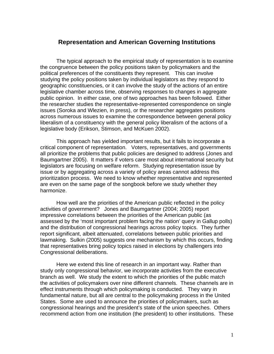## **Representation and American Governing Institutions**

 The typical approach to the empirical study of representation is to examine the congruence between the policy positions taken by policymakers and the political preferences of the constituents they represent. This can involve studying the policy positions taken by individual legislators as they respond to geographic constituencies, or it can involve the study of the actions of an entire legislative chamber across time, observing responses to changes in aggregate public opinion. In either case, one of two approaches has been followed. Either the researcher studies the representative-represented correspondence on single issues (Soroka and Wlezien, in press), or the researcher aggregates positions across numerous issues to examine the correspondence between general policy liberalism of a constituency with the general policy liberalism of the actions of a legislative body (Erikson, Stimson, and McKuen 2002).

 This approach has yielded important results, but it fails to incorporate a critical component of representation. Voters, representatives, and governments all prioritize the problems that public policies are designed to address (Jones and Baumgartner 2005). It matters if voters care most about international security but legislators are focusing on welfare reform. Studying representation issue by issue or by aggregating across a variety of policy areas cannot address this prioritization process. We need to know whether representative and represented are even on the same page of the songbook before we study whether they harmonize.

 How well are the priorities of the American public reflected in the policy activities of government? Jones and Baumgartner (2004; 2005) report impressive correlations between the priorities of the American public (as assessed by the 'most important problem facing the nation' query in Gallup polls) and the distribution of congressional hearings across policy topics. They further report significant, albeit attenuated, correlations between public priorities and lawmaking. Sulkin (2005) suggests one mechanism by which this occurs, finding that representatives bring policy topics raised in elections by challengers into Congressional deliberations.

 Here we extend this line of research in an important way. Rather than study only congressional behavior, we incorporate activities from the executive branch as well. We study the extent to which the priorities of the public match the activities of policymakers over nine different channels. These channels are in effect instruments through which policymaking is conducted. They vary in fundamental nature, but all are central to the policymaking process in the United States. Some are used to announce the priorities of policymakers, such as congressional hearings and the president's state of the union speeches. Others recommend action from one institution (the president) to other institutions. These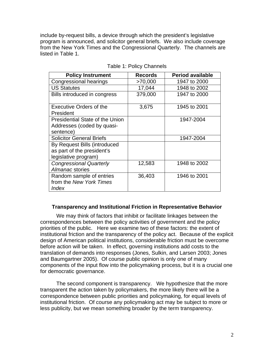include by-request bills, a device through which the president's legislative program is announced, and solicitor general briefs. We also include coverage from the New York Times and the Congressional Quarterly. The channels are listed in Table 1.

| <b>Policy Instrument</b>                    | <b>Records</b> | <b>Period available</b> |
|---------------------------------------------|----------------|-------------------------|
| <b>Congressional hearings</b>               | >70,000        | 1947 to 2000            |
| <b>US Statutes</b>                          | 17,044         | 1948 to 2002            |
| Bills introduced in congress                | 379,000        | 1947 to 2000            |
| <b>Executive Orders of the</b><br>President | 3,675          | 1945 to 2001            |
| <b>Presidential State of the Union</b>      |                | 1947-2004               |
| Addresses (coded by quasi-                  |                |                         |
| sentence)                                   |                |                         |
| <b>Solicitor General Briefs</b>             |                | 1947-2004               |
| By Request Bills (introduced                |                |                         |
| as part of the president's                  |                |                         |
| legislative program)                        |                |                         |
| <b>Congressional Quarterly</b>              | 12,583         | 1948 to 2002            |
| Almanac stories                             |                |                         |
| Random sample of entries                    | 36,403         | 1946 to 2001            |
| from the New York Times                     |                |                         |
| <i><b>Index</b></i>                         |                |                         |

Table 1: Policy Channels

#### **Transparency and Institutional Friction in Representative Behavior**

 We may think of factors that inhibit or facilitate linkages between the correspondences between the policy activities of government and the policy priorities of the public. Here we examine two of these factors: the extent of institutional friction and the transparency of the policy act. Because of the explicit design of American political institutions, considerable friction must be overcome before action will be taken. In effect, governing institutions add costs to the translation of demands into responses (Jones, Sulkin, and Larsen 2003; Jones and Baumgartner 2005). Of course public opinion is only one of many components of the input flow into the policymaking process, but it is a crucial one for democratic governance.

 The second component is transparency. We hypothesize that the more transparent the action taken by policymakers, the more likely there will be a correspondence between public priorities and policymaking, for equal levels of institutional friction. Of course any policymaking act may be subject to more or less publicity, but we mean something broader by the term transparency.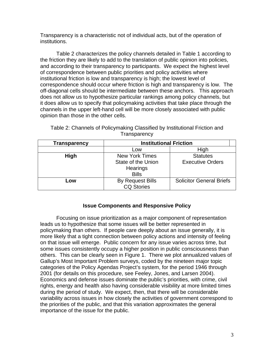Transparency is a characteristic not of individual acts, but of the operation of institutions.

 Table 2 characterizes the policy channels detailed in Table 1 according to the friction they are likely to add to the translation of public opinion into policies, and according to their transparency to participants. We expect the highest level of correspondence between public priorities and policy activities where institutional friction is low and transparency is high; the lowest level of correspondence should occur where friction is high and transparency is low. The off-diagonal cells should be intermediate between these anchors. This approach does not allow us to hypothesize particular rankings among policy channels, but it does allow us to specify that policymaking activities that take place through the channels in the upper left-hand cell will be more closely associated with public opinion than those in the other cells.

| Transparency | <b>Institutional Friction</b>                                           |                                            |  |  |  |  |
|--------------|-------------------------------------------------------------------------|--------------------------------------------|--|--|--|--|
|              | Low                                                                     | High                                       |  |  |  |  |
| <b>High</b>  | <b>New York Times</b><br>State of the Union<br>Hearings<br><b>Bills</b> | <b>Statutes</b><br><b>Executive Orders</b> |  |  |  |  |
| Low          | By Request Bills<br><b>CQ Stories</b>                                   | <b>Solicitor General Briefs</b>            |  |  |  |  |

Table 2: Channels of Policymaking Classified by Institutional Friction and **Transparency** 

## **Issue Components and Responsive Policy**

Focusing on issue prioritization as a major component of representation leads us to hypothesize that some issues will be better represented in policymaking than others. If people care deeply about an issue generally, it is more likely that a tight connection between policy actions and intensity of feeling on that issue will emerge. Public concern for any issue varies across time, but some issues consistently occupy a higher position in public consciousness than others. This can be clearly seen in Figure 1. There we plot annualized values of Gallup's Most Important Problem surveys, coded by the nineteen major topic categories of the Policy Agendas Project's system, for the period 1946 through 2001 (for details on this procedure, see Feeley, Jones, and Larsen 2004). Economics and defense issues dominate the public's priorities, with crime, civil rights, energy and health also having considerable visibility at more limited times during the period of study. We expect, then, that there will be considerable variability across issues in how closely the activities of government correspond to the priorities of the public, and that this variation approximates the general importance of the issue for the public.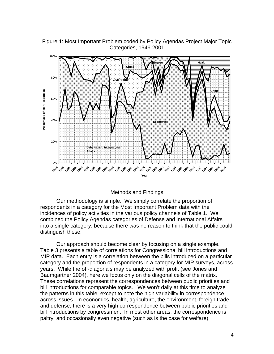Figure 1: Most Important Problem coded by Policy Agendas Project Major Topic Categories, 1946-2001



#### Methods and Findings

 Our methodology is simple. We simply correlate the proportion of respondents in a category for the Most Important Problem data with the incidences of policy activities in the various policy channels of Table 1. We combined the Policy Agendas categories of Defense and international Affairs into a single category, because there was no reason to think that the public could distinguish these.

Our approach should become clear by focusing on a single example. Table 3 presents a table of correlations for Congressional bill introductions and MIP data. Each entry is a correlation between the bills introduced on a particular category and the proportion of respondents in a category for MIP surveys, across years. While the off-diagonals may be analyzed with profit (see Jones and Baumgartner 2004), here we focus only on the diagonal cells of the matrix. These correlations represent the correspondences between public priorities and bill introductions for comparable topics. We won't dally at this time to analyze the patterns in this table, except to note the high variability in correspondence across issues. In economics, health, agriculture, the environment, foreign trade, and defense, there is a very high correspondence between public priorities and bill introductions by congressmen. In most other areas, the correspondence is paltry, and occasionally even negative (such as is the case for welfare).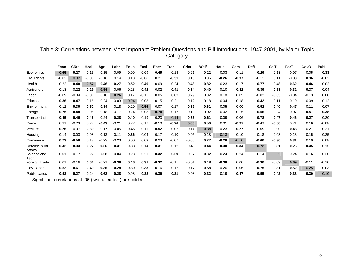## Table 3: Correlations between Most Important Problem Questions and Bill Introductions, 1947-2001, by Major Topic **Category**

|                           | Econ         | <b>CRts</b> | Heal                 | Agri      | Labr    | <b>Educ</b> | Envi    | Ener    | Tran    | Crim    | Welf    | Hous    | Com     | Defl    | SciT    | ForT    | GovO    | <b>PubL</b> |
|---------------------------|--------------|-------------|----------------------|-----------|---------|-------------|---------|---------|---------|---------|---------|---------|---------|---------|---------|---------|---------|-------------|
| Economics                 | 0.65         | $-0.27$     | $-0.15$              | $-0.15$   | 0.09    | $-0.09$     | $-0.09$ | 0.45    | 0.18    | $-0.21$ | $-0.22$ | $-0.03$ | $-0.11$ | $-0.29$ | $-0.13$ | $-0.07$ | 0.05    | 0.33        |
| Civil Rights              | $-0.02$      | 0.02        | $-0.05$              | $-0.18$   | 0.14    | 0.18        | $-0.08$ | 0.21    | $-0.31$ | 0.16    | 0.06    | $-0.26$ | $-0.37$ | $-0.13$ | 0.11    | $-0.03$ | 0.36    | $-0.02$     |
| Health                    | 0.22         | $-0.40$     | 0.57                 | $-0.46$   | $-0.27$ | 0.52        | 0.49    | 0.09    | $-0.24$ | 0.48    | 0.82    | $-0.23$ | $-0.17$ | $-0.77$ | $-0.48$ | 0.62    | 0.46    | $-0.02$     |
| Agriculture               | $-0.18$      | 0.22        | $-0.29$              | 0.54      | 0.06    | $-0.23$     | $-0.42$ | $-0.02$ | 0.41    | -0.34   | $-0.40$ | 0.10    | 0.42    | 0.39    | 0.58    | $-0.32$ | $-0.37$ | 0.04        |
| Labor                     | $-0.09$      | $-0.04$     | $-0.01$              | 0.10      | 0.26    | 0.17        | $-0.15$ | 0.05    | 0.03    | 0.29    | 0.02    | 0.18    | 0.05    | $-0.02$ | $-0.03$ | $-0.04$ | $-0.13$ | 0.00        |
| Education                 | $-0.36$      | 0.47        | $-0.16$              | $-0.24$   | $-0.03$ | 0.04        | $-0.03$ | $-0.15$ | $-0.21$ | $-0.12$ | $-0.18$ | $-0.04$ | $-0.18$ | 0.42    | 0.11    | $-0.19$ | $-0.09$ | $-0.12$     |
| Environment               | 0.12         | $-0.30$     | 0.52                 | $-0.34$   | $-0.18$ | 0.20        | 0.56    | $-0.07$ | $-0.17$ | 0.37    | 0.61    | $-0.05$ | 0.00    | $-0.52$ | $-0.40$ | 0.47    | 0.11    | $-0.07$     |
| Energy                    | 0.75         | $-0.48$     | $-0.06$              | $-0.18$   | $-0.17$ | $-0.24$     | $-0.03$ | 0.74    | 0.17    | $-0.10$ | $-0.02$ | $-0.02$ | $-0.15$ | $-0.56$ | $-0.24$ | $-0.07$ | 0.57    | 0.38        |
| Transportation            | $-0.45$      | 0.46        | $-0.46$              | 0.24      | 0.28    | $-0.40$     | $-0.19$ | $-0.23$ | $-0.14$ | -0.36   | $-0.61$ | 0.09    | $-0.06$ | 0.78    | 0.47    | $-0.46$ | $-0.27$ | $-0.20$     |
| Crime                     | 0.21         | $-0.23$     | 0.22                 | $-0.43$   | $-0.21$ | 0.22        | 0.17    | $-0.10$ | $-0.26$ | 0.60    | 0.50    | 0.01    | $-0.27$ | $-0.47$ | $-0.50$ | 0.21    | 0.16    | $-0.08$     |
| Welfare                   | 0.26         | 0.07        | $-0.39$              | $-0.17$   | 0.05    | $-0.46$     | $-0.11$ | 0.52    | 0.02    | $-0.14$ | $-0.38$ | 0.23    | $-0.27$ | 0.09    | 0.00    | $-0.43$ | 0.21    | 0.21        |
| Housing                   | $-0.14$      | 0.03        | 0.08                 | 0.13      | $-0.11$ | $-0.36$     | 0.04    | $-0.17$ | $-0.10$ | 0.05    | $-0.18$ | 0.13    | 0.10    | 0.18    | $-0.03$ | $-0.13$ | $-0.15$ | $-0.25$     |
| Commerce                  | 0.73         | $-0.59$     | 0.18                 | $-0.23$   | $-0.23$ | 0.00        | 0.09    | 0.23    | $-0.07$ | $-0.06$ | 0.27    | $-0.26$ | $-0.10$ | $-0.60$ | $-0.30$ | 0.31    | 0.10    | 0.08        |
| Defense & Int.<br>Affairs | $-0.42$      | 0.33        | $-0.27$              | 0.56      | 0.31    | $-0.33$     | $-0.14$ | $-0.31$ | 0.12    | $-0.46$ | $-0.44$ | 0.30    | 0.34    | 0.72    | 0.31    | $-0.26$ | $-0.45$ | $-0.15$     |
| Science and<br>Tech       | 0.01         | $-0.17$     | 0.22                 | $-0.28$   | $-0.04$ | 0.23        | 0.21    | $-0.32$ | $-0.29$ | 0.07    | 0.32    | $-0.24$ | $-0.24$ | $-0.14$ | $-0.02$ | 0.24    | 0.16    | $-0.20$     |
| Foreign Trade             | 0.01         | $-0.16$     | 0.61                 | $-0.21$   | $-0.36$ | 0.46        | 0.31    | $-0.32$ | $-0.11$ | $-0.01$ | 0.48    | $-0.38$ | 0.00    | $-0.30$ | $-0.09$ | 0.69    | $-0.11$ | $-0.10$     |
| Gov't Oper                | $-0.52$      | 0.61        | $-0.49$              | 0.36      | 0.28    | $-0.30$     | $-0.38$ | $-0.16$ | 0.12    | $-0.17$ | $-0.58$ | 0.20    | 0.06    | 0.75    | 0.31    | $-0.52$ | $-0.25$ | $-0.03$     |
| <b>Public Lands</b>       | $-0.53$<br>. | 0.27        | $-0.24$<br>$  \cdot$ | 0.62<br>. | 0.28    | 0.08        | $-0.32$ | $-0.36$ | 0.31    | $-0.08$ | $-0.32$ | 0.19    | 0.47    | 0.55    | 0.42    | $-0.33$ | $-0.30$ | $-0.10$     |

Significant correlations at .05 (two-tailed test) are bolded.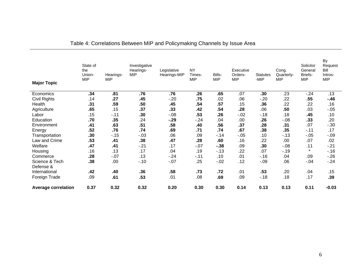| <b>Major Topic</b>         | State of<br>the<br>Union-<br><b>MIP</b> | Hearings-<br><b>MIP</b> | Investigative<br>Hearings-<br><b>MIP</b> | Legislative<br>Hearings-MIP | <b>NY</b><br>Times-<br><b>MIP</b> | Bills-<br>MIP | Executive<br>Orders-<br><b>MIP</b> | <b>Statutes</b><br>-MIP | Cong.<br>Quarterly-<br><b>MIP</b> | Solicitor<br>General<br>Briefs-<br><b>MIP</b> | By<br>Request<br>Bill<br>Intros-<br><b>MIP</b> |
|----------------------------|-----------------------------------------|-------------------------|------------------------------------------|-----------------------------|-----------------------------------|---------------|------------------------------------|-------------------------|-----------------------------------|-----------------------------------------------|------------------------------------------------|
| Economics                  | .34                                     | .81                     | .76                                      | .76                         | .26                               | .65           | .07                                | .30                     | .23                               | $-24$                                         | .13                                            |
| Civil Rights               | .14                                     | .27                     | .45                                      | $-.20$                      | .75                               | .02           | .06                                | $-20$                   | .22                               | .55                                           | $-46$                                          |
| Health                     | .31                                     | .59                     | .50                                      | .45                         | .54                               | .57           | .15                                | .36                     | .22                               | .22                                           | .16                                            |
| Agriculture                | .65                                     | .15                     | .37                                      | .33                         | .42                               | .54           | .28                                | .06                     | .50                               | .03                                           | $-.05$                                         |
| Labor                      | .15                                     | $-.11$                  | .30                                      | $-0.08$                     | .53                               | .26           | $-0.02$                            | $-18$                   | .18                               | .45                                           | .10                                            |
| Education                  | .70                                     | .35                     | .24                                      | $-29$                       | $-24$                             | .04           | .00                                | .26                     | $-0.08$                           | .33                                           | .20                                            |
| Environment                | .41                                     | .63                     | .51                                      | .58                         | .40                               | .56           | .37                                | .28                     | .31                               | .07                                           | $-.30$                                         |
| Energy                     | .52                                     | .76                     | .74                                      | .69                         | .71                               | .74           | .67                                | .38                     | .35                               | $-.11$                                        | .17                                            |
| Transportation             | .30                                     | $-15$                   | $-.03$                                   | .06                         | .09                               | $-14$         | $-0.05$                            | .10                     | $-13$                             | $-.05$                                        | $-.09$                                         |
| Law and Crime              | .53                                     | .41                     | .38                                      | .47                         | .28                               | .60           | .16                                | .22                     | .00                               | .07                                           | .02                                            |
| Welfare                    | .47                                     | .41                     | $-.21$                                   | .17                         | $-0.07$                           | $-38$         | .09                                | .30                     | $-0.08$                           | .11                                           | $-.21$                                         |
| Housing                    | .16                                     | .13                     | .17                                      | .04                         | .19                               | $-13$         | .22                                | .07                     | $-19$                             | $\star$                                       | $-16$                                          |
| Commerce                   | .28                                     | $-.07$                  | .13                                      | $-.24$                      | $-.11$                            | .10           | .01                                | $-16$                   | .04                               | .09                                           | $-26$                                          |
| Science & Tech             | .38                                     | .00                     | $-.10$                                   | $-.07$                      | .25                               | $-.02$        | .12                                | $-.09$                  | .06                               | -.04                                          | $-.24$                                         |
| Defense &                  |                                         |                         |                                          |                             |                                   |               |                                    |                         |                                   |                                               |                                                |
| International              | .42                                     | .40                     | .36                                      | .58                         | .73                               | .72           | .01                                | .53                     | .20                               | .04                                           | .15                                            |
| Foreign Trade              | .09                                     | .61                     | .53                                      | .01                         | .08                               | .69           | .09                                | $-18$                   | .18                               | .17                                           | .39                                            |
| <b>Average correlation</b> | 0.37                                    | 0.32                    | 0.32                                     | 0.20                        | 0.30                              | 0.30          | 0.14                               | 0.13                    | 0.13                              | 0.11                                          | $-0.03$                                        |

## Table 4: Correlations Between MIP and Policymaking Channels by Issue Area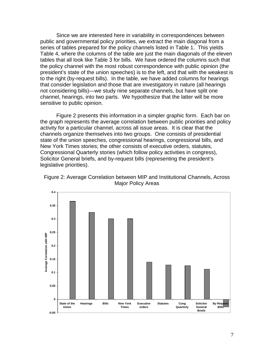Since we are interested here in variability in correspondences between public and governmental policy priorities, we extract the main diagonal from a series of tables prepared for the policy channels listed in Table 1. This yields Table 4, where the columns of the table are just the main diagonals of the eleven tables that all look like Table 3 for bills. We have ordered the columns such that the policy channel with the most robust correspondence with public opinion (the president's state of the union speeches) is to the left, and that with the weakest is to the right (by-request bills). In the table, we have added columns for hearings that consider legislation and those that are investigatory in nature (all hearings not considering bills)—we study nine separate channels, but have split one channel, hearings, into two parts. We hypothesize that the latter will be more sensitive to public opinion.

 Figure 2 presents this information in a simpler graphic form. Each bar on the graph represents the average correlation between public priorities and policy activity for a particular channel, across all issue areas. It is clear that the channels organize themselves into two groups. One consists of presidential state of the union speeches, congressional hearings, congressional bills, and New York Times stories; the other consists of executive orders, statutes, Congressional Quarterly stories (which follow policy activities in congress), Solicitor General briefs, and by-request bills (representing the president's legislative priorities).



Figure 2: Average Correlation between MIP and Institutional Channels, Across Major Policy Areas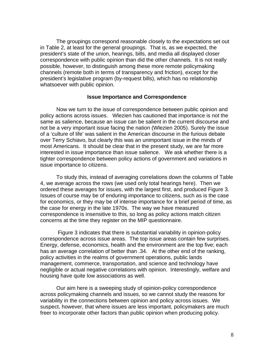The groupings correspond reasonable closely to the expectations set out in Table 2, at least for the general groupings. That is, as we expected, the president's state of the union, hearings, bills, and media all displayed closer correspondence with public opinion than did the other channels. It is not really possible, however, to distinguish among these more remote policymaking channels (remote both in terms of transparency and friction), except for the president's legislative program (by-request bills), which has no relationship whatsoever with public opinion.

#### **Issue Importance and Correspondence**

 Now we turn to the issue of correspondence between public opinion and policy actions across issues. Wlezien has cautioned that importance is not the same as salience, because an issue can be salient in the current discourse and not be a very important issue facing the nation (Wlezien 2005). Surely the issue of a 'culture of life' was salient in the American discourse in the furious debate over Terry Schiavo, but clearly this was an unimportant issue in the minds of most Americans. It should be clear that in the present study, we are far more interested in issue importance than issue salience. We ask whether there is a tighter correspondence between policy actions of government and variations in issue importance to citizens.

To study this, instead of averaging correlations down the columns of Table 4, we average across the rows (we used only total hearings here). Then we ordered these averages for issues, with the largest first, and produced Figure 3. Issues of course may be of enduring importance to citizens, such as is the case for economics, or they may be of intense importance for a brief period of time, as the case for energy in the late 1970s. The way we have measured correspondence is insensitive to this, so long as policy actions match citizen concerns at the time they register on the MIP questionnaire.

 Figure 3 indicates that there is substantial variability in opinion-policy correspondence across issue areas. The top issue areas contain few surprises. Energy, defense, economics, health and the environment are the top five; each has an average correlation of better than .34. At the other end of the ranking, policy activities in the realms of government operations, public lands management, commerce, transportation, and science and technology have negligible or actual negative correlations with opinion. Interestingly, welfare and housing have quite low associations as well.

Our aim here is a sweeping study of opinion-policy correspondence across policymaking channels and issues, so we cannot study the reasons for variability in the connections between opinion and policy across issues. We suspect, however, that where issues are less important, policymakers are much freer to incorporate other factors than public opinion when producing policy.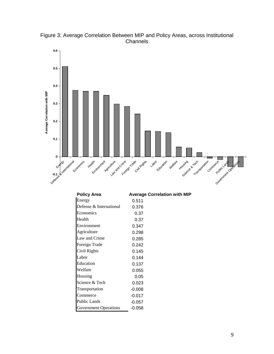

Figure 3: Average Correlation Between MIP and Policy Areas, across Institutional Channels

| <b>Policy Area</b>           | <b>Average Correlation with MIP</b> |
|------------------------------|-------------------------------------|
| Energy                       | 0.511                               |
| Defense & International      | 0.376                               |
| Economics                    | 0.37                                |
| Health                       | 0.37                                |
| Environment                  | 0.347                               |
| Agriculture                  | 0.298                               |
| Law and Crime                | 0.285                               |
| Foreign Trade                | 0.242                               |
| Civil Rights                 | 0.145                               |
| Labor                        | 0.144                               |
| Education                    | 0.137                               |
| Welfare                      | 0.055                               |
| Housing                      | 0.05                                |
| Science & Tech               | 0.023                               |
| Transportation               | $-0.008$                            |
| Commerce                     | $-0.017$                            |
| Public Lands                 | $-0.057$                            |
| <b>Government Operations</b> | $-0.058$                            |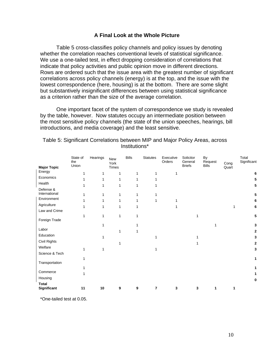### **A Final Look at the Whole Picture**

 Table 5 cross-classifies policy channels and policy issues by denoting whether the correlation reaches conventional levels of statistical significance. We use a one-tailed test, in effect dropping consideration of correlations that indicate that policy activities and public opinion move in different directions. Rows are ordered such that the issue area with the greatest number of significant correlations across policy channels (energy) is at the top, and the issue with the lowest correspondence (here, housing) is at the bottom. There are some slight but substantively insignificant differences between using statistical significance as a criterion rather than the size of the average correlation.

 One important facet of the system of correspondence we study is revealed by the table, however. Now statutes occupy an intermediate position between the most sensitive policy channels (the state of the union speeches, hearings, bill introductions, and media coverage) and the least sensitive.

| <b>Major Topic</b>          | State of<br>the<br>Union | Hearings | New<br>York<br>Times | <b>Bills</b> | <b>Statutes</b> | Executive<br>Orders | Solicitor<br>General<br><b>Briefs</b> | By<br>Request<br><b>Bills</b> | Cong<br>Quart | Total<br>Significant |
|-----------------------------|--------------------------|----------|----------------------|--------------|-----------------|---------------------|---------------------------------------|-------------------------------|---------------|----------------------|
| Energy                      |                          | 1        | 1                    | 1            |                 |                     |                                       |                               |               | 6                    |
| Economics                   |                          |          |                      | 1            |                 |                     |                                       |                               |               | 5                    |
| Health                      |                          | 1        | 1                    | 1            |                 |                     |                                       |                               |               | 5                    |
| Defense &<br>International  | 1                        | 1        | 1                    | 1            |                 |                     |                                       |                               |               | 5                    |
| Environment                 | 1                        |          |                      | 1            |                 |                     |                                       |                               |               |                      |
| Agriculture                 |                          |          |                      |              |                 |                     |                                       |                               |               | 6                    |
| Law and Crime               | 1                        | 1        | 1                    | 1            |                 |                     |                                       |                               |               | 6                    |
|                             | 1                        | 1        | $\mathbf{1}$         | 1            |                 |                     |                                       |                               |               | 5                    |
| Foreign Trade               |                          |          |                      |              |                 |                     |                                       |                               |               |                      |
| Labor                       |                          | 1        |                      |              |                 |                     |                                       | 1                             |               | 3                    |
| Education                   |                          |          | 1                    |              |                 |                     |                                       |                               |               | 2                    |
|                             |                          | 1        |                      |              |                 |                     |                                       |                               |               | 3                    |
| <b>Civil Rights</b>         |                          |          |                      |              |                 |                     |                                       |                               |               | 2                    |
| Welfare                     |                          | 1        |                      |              |                 |                     |                                       |                               |               | 3                    |
| Science & Tech              |                          |          |                      |              |                 |                     |                                       |                               |               | 1                    |
| Transportation              |                          |          |                      |              |                 |                     |                                       |                               |               |                      |
|                             |                          |          |                      |              |                 |                     |                                       |                               |               |                      |
| Commerce                    |                          |          |                      |              |                 |                     |                                       |                               |               |                      |
| Housing                     |                          |          |                      |              |                 |                     |                                       |                               |               | 0                    |
| <b>Total</b><br>Significant | 11                       | 10       | 9                    | 9            | 7               | 3                   | 3                                     | 1                             |               |                      |

Table 5: Significant Correlations between MIP and Major Policy Areas, across Institutions\*

\*One-tailed test at 0.05.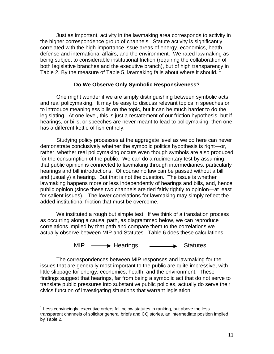Just as important, activity in the lawmaking area corresponds to activity in the higher correspondence group of channels. Statute activity is significantly correlated with the high-importance issue areas of energy, economics, heath, defense and international affairs, and the environment. We rated lawmaking as being subject to considerable institutional friction (requiring the collaboration of both legislative branches and the executive branch), but of high transparency in Table 2. By the measure of Table 5, lawmaking falls about where it should. <sup>1</sup>

#### **Do We Observe Only Symbolic Responsiveness?**

 One might wonder if we are simply distinguishing between symbolic acts and real policymaking. It may be easy to discuss relevant topics in speeches or to introduce meaningless bills on the topic, but it can be much harder to do the legislating. At one level, this is just a restatement of our friction hypothesis, but if hearings, or bills, or speeches are never meant to lead to policymaking, then one has a different kettle of fish entirely.

 Studying policy processes at the aggregate level as we do here can never demonstrate conclusively whether the symbolic politics hypothesis is right—or, rather, whether real policymaking occurs even though symbols are also produced for the consumption of the public. We can do a rudimentary test by assuming that public opinion is connected to lawmaking through intermediaries, particularly hearings and bill introductions. Of course no law can be passed without a bill and (usually) a hearing. But that is not the question. The issue is whether lawmaking happens more or less independently of hearings and bills, and, hence public opinion (since these two channels are tied fairly tightly to opinion—at least for salient issues). The lower correlations for lawmaking may simply reflect the added institutional friction that must be overcome.

 We instituted a rough but simple test. If we think of a translation process as occurring along a causal path, as diagrammed below, we can reproduce correlations implied by that path and compare them to the correlations we actually observe between MIP and Statutes. Table 6 does these calculations.

 $MIP \longrightarrow$  Hearings  $\longrightarrow$  Statutes

The correspondences between MIP responses and lawmaking for the issues that are generally most important to the public are quite impressive, with little slippage for energy, economics, health, and the environment. These findings suggest that hearings, far from being a symbolic act that do not serve to translate public pressures into substantive public policies, actually do serve their civics function of investigating situations that warrant legislation.

1

 $1$  Less convincingly, executive orders fall below statutes in ranking, but above the less transparent channels of solicitor general briefs and CQ stories, an intermediate position implied by Table 2.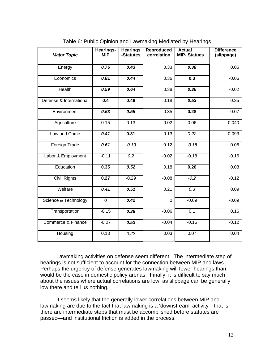| <b>Major Topic</b>      | <b>Hearings-</b><br><b>MIP</b> | <b>Hearings</b><br>-Statutes | Reproduced<br>correlation | <b>Actual</b><br><b>MIP-Statues</b> | <b>Difference</b><br>(slippage) |
|-------------------------|--------------------------------|------------------------------|---------------------------|-------------------------------------|---------------------------------|
| Energy                  | 0.76                           | 0.43                         | 0.33                      | 0.38                                | 0.05                            |
| Economics               | 0.81                           | 0.44                         | 0.36                      | 0.3                                 | $-0.06$                         |
| Health                  | 0.59                           | 0.64                         | 0.38                      | 0.36                                | $-0.02$                         |
| Defense & International | 0.4                            | 0.46                         | 0.18                      | 0.53                                | 0.35                            |
| Environment             | 0.63                           | 0.55                         | 0.35                      | 0.28                                | $-0.07$                         |
| Agriculture             | 0.15                           | 0.13                         | 0.02                      | 0.06                                | 0.040                           |
| Law and Crime           | 0.41                           | 0.31                         | 0.13                      | 0.22                                | 0.093                           |
| Foreign Trade           | 0.61                           | $-0.19$                      | $-0.12$                   | $-0.18$                             | $-0.06$                         |
| Labor & Employment      | $-0.11$                        | 0.2                          | $-0.02$                   | $-0.18$                             | $-0.16$                         |
| Education               | 0.35                           | 0.52                         | 0.18                      | 0.26                                | 0.08                            |
| <b>Civil Rights</b>     | 0.27                           | $-0.29$                      | $-0.08$                   | $-0.2$                              | $-0.12$                         |
| Welfare                 | 0.41                           | 0.51                         | 0.21                      | 0.3                                 | 0.09                            |
| Science & Technology    | $\mathbf 0$                    | 0.42                         | $\mathbf 0$               | $-0.09$                             | $-0.09$                         |
| Transportation          | $-0.15$                        | 0.38                         | $-0.06$                   | 0.1                                 | 0.16                            |
| Commerce & Finance      | $-0.07$                        | 0.53                         | $-0.04$                   | $-0.16$                             | $-0.12$                         |
| Housing                 | 0.13                           | 0.22                         | 0.03                      | $\overline{0.07}$                   | 0.04                            |

Table 6: Public Opinion and Lawmaking Mediated by Hearings

 Lawmaking activities on defense seem different. The intermediate step of hearings is not sufficient to account for the connection between MIP and laws. Perhaps the urgency of defense generates lawmaking will fewer hearings than would be the case in domestic policy arenas. Finally, it is difficult to say much about the issues where actual correlations are low, as slippage can be generally low there and tell us nothing.

It seems likely that the generally lower correlations between MIP and lawmaking are due to the fact that lawmaking is a 'downstream' activity—that is, there are intermediate steps that must be accomplished before statutes are passed—and institutional friction is added in the process.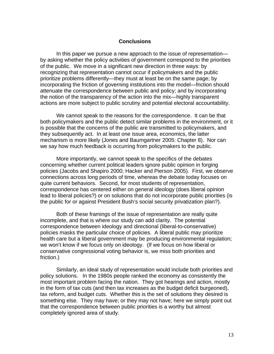#### **Conclusions**

 In this paper we pursue a new approach to the issue of representation by asking whether the policy activities of government correspond to the priorities of the public. We move in a significant new direction in three ways: by recognizing that representation cannot occur if policymakers and the public prioritize problems differently—they must at least be on the same page; by incorporating the friction of governing institutions into the model—friction should attenuate the correspondence between public and policy; and by incorporating the notion of the transparency of the action into the mix—highly transparent actions are more subject to public scrutiny and potential electoral accountability.

 We cannot speak to the reasons for the correspondence. It can be that both policymakers and the public detect similar problems in the environment, or it is possible that the concerns of the public are transmitted to policymakers, and they subsequently act. In at least one issue area, economics, the latter mechanism is more likely (Jones and Baumgartner 2005: Chapter 8). Nor can we say how much feedback is occurring from policymakers to the public.

 More importantly, we cannot speak to the specifics of the debates concerning whether current political leaders ignore public opinion in forging policies (Jacobs and Shapiro 2000; Hacker and Pierson 2005). First, we observe connections across long periods of time, whereas the debate today focuses on quite current behaviors. Second, for most students of representation, correspondence has centered either on general ideology (does liberal opinion lead to liberal policies?) or on solutions that do not incorporate public priorities (is the public for or against President Bush's social security privatization plan?).

 Both of these framings of the issue of representation are really quite incomplete, and that is where our study can add clarity. The potential correspondence between ideology and directional (liberal-to-conservative) policies masks the particular choice of policies. A liberal public may prioritize health care but a liberal government may be producing environmental regulation; we won't know if we focus only on ideology. (If we focus on how liberal or conservative congressional voting behavior is, we miss both priorities and friction.)

 Similarly, an ideal study of representation would include both priorities and policy solutions. In the 1980s people ranked the economy as consistently the most important problem facing the nation. They got hearings and action, mostly in the form of tax cuts (and then tax increases as the budget deficit burgeoned), tax reform, and budget cuts. Whether this is the set of solutions they desired is something else. They may have; or they may not have; here we simply point out that the correspondence between public priorities is a worthy but almost completely ignored area of study.